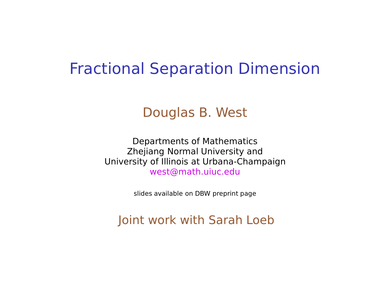#### Fractional Separation Dimension

#### Douglas B. West

Departments of Mathematics Zhejiang Normal University and University of Illinois at Urbana-Champaign west@math.uiuc.edu

slides available on DBW preprint page

Joint work with Sarah Loeb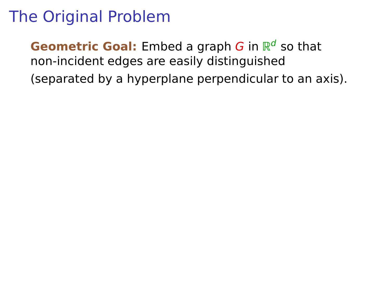**Geometric Goal:** Embed a graph G in  $\mathbb{R}^d$  so that non-incident edges are easily distinguished (separated by a hyperplane perpendicular to an axis).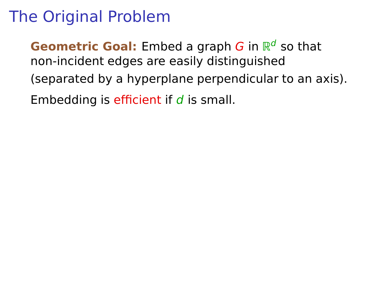**Geometric Goal:** Embed a graph G in  $\mathbb{R}^d$  so that non-incident edges are easily distinguished (separated by a hyperplane perpendicular to an axis). Embedding is efficient if  $d$  is small.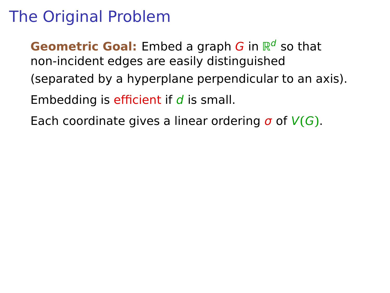**Geometric Goal:** Embed a graph G in  $\mathbb{R}^d$  so that non-incident edges are easily distinguished (separated by a hyperplane perpendicular to an axis). Embedding is efficient if  $d$  is small.

Each coordinate gives a linear ordering σ of V**(**G**)**.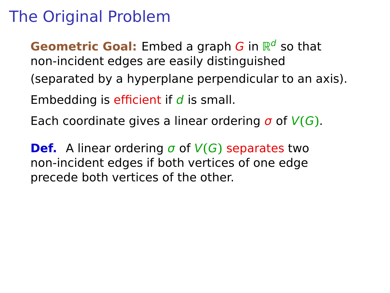**Geometric Goal:** Embed a graph G in  $\mathbb{R}^d$  so that non-incident edges are easily distinguished (separated by a hyperplane perpendicular to an axis). Embedding is efficient if  $d$  is small. Each coordinate gives a linear ordering σ of V**(**G**)**.

**Def.** A linear ordering  $\sigma$  of  $V(G)$  separates two non-incident edges if both vertices of one edge precede both vertices of the other.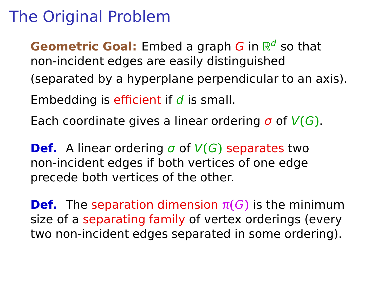**Geometric Goal:** Embed a graph G in  $\mathbb{R}^d$  so that non-incident edges are easily distinguished (separated by a hyperplane perpendicular to an axis). Embedding is efficient if  $d$  is small. Each coordinate gives a linear ordering σ of V**(**G**)**.

**Def.** A linear ordering  $\sigma$  of  $V(G)$  separates two non-incident edges if both vertices of one edge precede both vertices of the other.

**Def.** The separation dimension  $\pi(G)$  is the minimum size of a separating family of vertex orderings (every two non-incident edges separated in some ordering).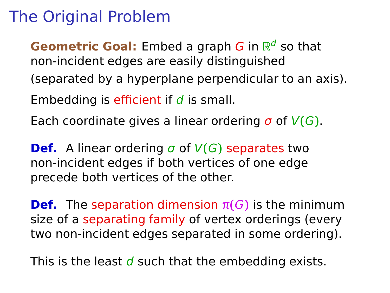**Geometric Goal:** Embed a graph G in  $\mathbb{R}^d$  so that non-incident edges are easily distinguished (separated by a hyperplane perpendicular to an axis). Embedding is efficient if  $d$  is small. Each coordinate gives a linear ordering σ of V**(**G**)**.

**Def.** A linear ordering  $\sigma$  of  $V(G)$  separates two non-incident edges if both vertices of one edge precede both vertices of the other.

**Def.** The separation dimension  $\pi(G)$  is the minimum size of a separating family of vertex orderings (every two non-incident edges separated in some ordering).

This is the least  $d$  such that the embedding exists.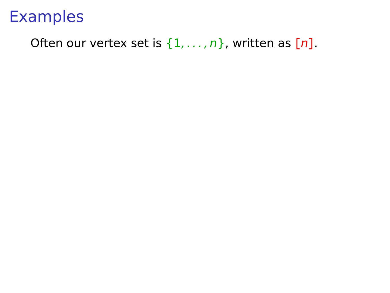#### Often our vertex set is  $\{1, \ldots, n\}$ , written as  $[n]$ .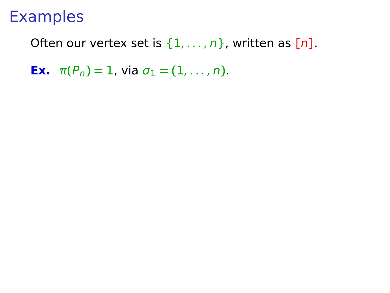Often our vertex set is {1, . . . , n}, written as **[**n**]**.

**Ex.**  $\pi(P_n) = 1$ , via  $\sigma_1 = (1, ..., n)$ .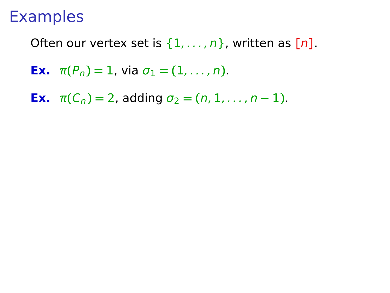Often our vertex set is {1, . . . , n}, written as **[**n**]**.

- **Ex.**  $\pi(P_n) = 1$ , via  $\sigma_1 = (1, ..., n)$ .
- **Ex.**  $\pi(C_n) = 2$ , adding  $\sigma_2 = (n, 1, \dots, n-1)$ .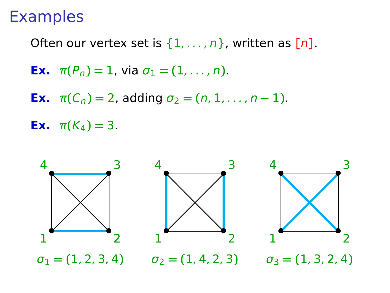Often our vertex set is {1, . . . , n}, written as **[**n**]**.

- **Ex.**  $\pi(P_n) = 1$ , via  $\sigma_1 = (1, ..., n)$ .
- **Ex.**  $\pi(C_n) = 2$ , adding  $\sigma_2 = (n, 1, \dots, n-1)$ .

**Ex.**  $\pi(K_4) = 3$ .

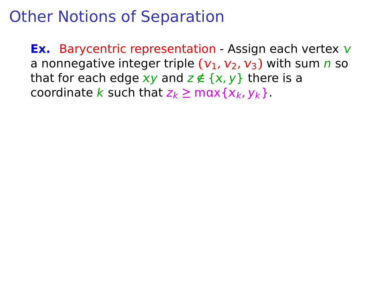**Ex.** Barycentric representation - Assign each vertex v a nonnegative integer triple  $(v_1, v_2, v_3)$  with sum n so that for each edge  $xy$  and  $z \notin \{x, y\}$  there is a coordinate k such that  $z_k \ge \max\{x_k, y_k\}$ .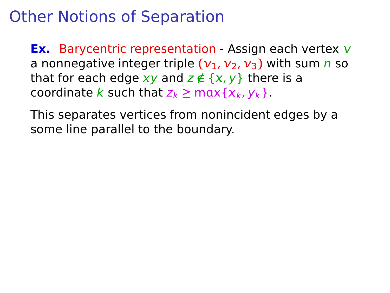**Ex.** Barycentric representation - Assign each vertex v a nonnegative integer triple  $(v_1, v_2, v_3)$  with sum n so that for each edge  $xy$  and  $z \notin \{x, y\}$  there is a coordinate k such that  $z_k \ge \max\{x_k, y_k\}$ .

This separates vertices from nonincident edges by a some line parallel to the boundary.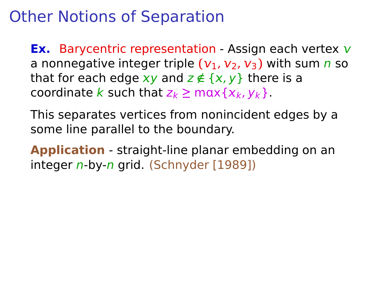**Ex.** Barycentric representation - Assign each vertex v a nonnegative integer triple  $(v_1, v_2, v_3)$  with sum n so that for each edge  $xy$  and  $z \notin \{x, y\}$  there is a coordinate k such that  $z_k \ge \max\{x_k, y_k\}$ .

This separates vertices from nonincident edges by a some line parallel to the boundary.

**Application** - straight-line planar embedding on an integer n-by-n grid. (Schnyder [1989])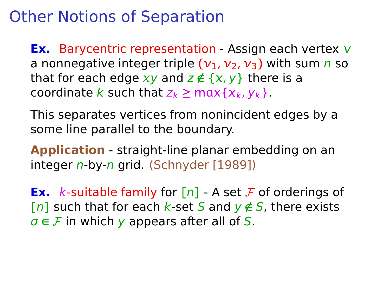**Ex.** Barycentric representation - Assign each vertex v a nonnegative integer triple  $(v_1, v_2, v_3)$  with sum n so that for each edge  $xy$  and  $z \notin \{x, y\}$  there is a coordinate k such that  $z_k \ge \max\{x_k, y_k\}$ .

This separates vertices from nonincident edges by a some line parallel to the boundary.

**Application** - straight-line planar embedding on an integer n-by-n grid. (Schnyder [1989])

**Ex.** k-suitable family for  $[n]$  - A set F of orderings of **[n]** such that for each k-set S and  $\mathsf{y} \notin S$ , there exists  $\sigma \in \mathcal{F}$  in which y appears after all of S.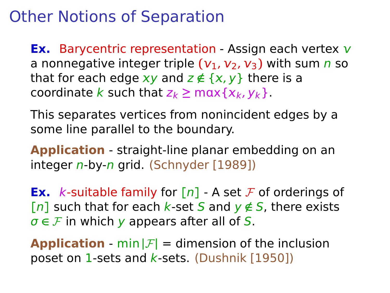**Ex.** Barycentric representation - Assign each vertex v a nonnegative integer triple  $(v_1, v_2, v_3)$  with sum n so that for each edge  $xy$  and  $z \notin \{x, y\}$  there is a coordinate k such that  $z_k \ge \max\{x_k, y_k\}$ .

This separates vertices from nonincident edges by a some line parallel to the boundary.

**Application** - straight-line planar embedding on an integer n-by-n grid. (Schnyder [1989])

**Ex.** k-suitable family for  $[n]$  - A set F of orderings of **[n]** such that for each k-set S and  $\mathsf{y} \notin S$ , there exists  $\sigma \in \mathcal{F}$  in which y appears after all of S.

**Application** - min  $|F|$  = dimension of the inclusion poset on 1-sets and  $k$ -sets. (Dushnik [1950])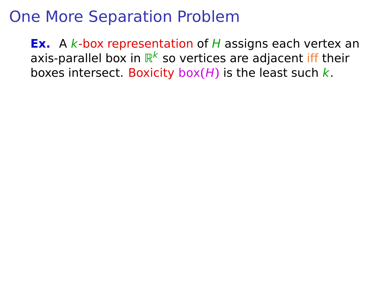**Ex.** A k-box representation of H assigns each vertex an axis-parallel box in  $\mathbb{R}^k$  so vertices are adjacent iff their boxes intersect. Boxicity box( $H$ ) is the least such  $k$ .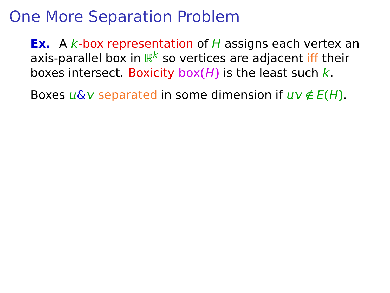**Ex.** A k-box representation of H assigns each vertex an axis-parallel box in  $\mathbb{R}^k$  so vertices are adjacent iff their boxes intersect. Boxicity box**(**H**)** is the least such k.

Boxes  $u\&v$  separated in some dimension if  $uv \notin E(H)$ .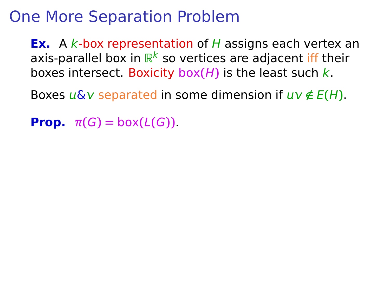**Ex.** A k-box representation of H assigns each vertex an axis-parallel box in  $\mathbb{R}^k$  so vertices are adjacent iff their boxes intersect. Boxicity box**(**H**)** is the least such k.

Boxes  $u\&v$  separated in some dimension if  $uv \notin E(H)$ .

**Prop.**  $\pi(G) = \text{box}(L(G))$ .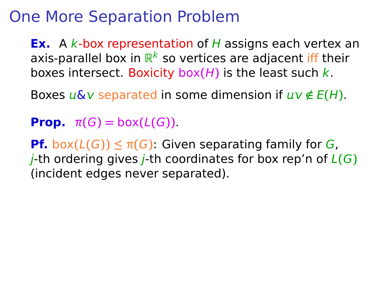**Ex.** A k-box representation of H assigns each vertex an axis-parallel box in  $\mathbb{R}^k$  so vertices are adjacent iff their boxes intersect. Boxicity box**(**H**)** is the least such k.

Boxes  $u\&v$  separated in some dimension if  $uv \notin E(H)$ .

**Prop.**  $\pi(G) = \text{box}(L(G))$ .

**Pf.** box $(L(G)) \leq \pi(G)$ : Given separating family for G, j-th ordering gives j-th coordinates for box rep'n of L**(**G**)** (incident edges never separated).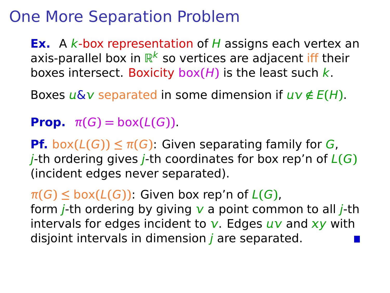**Ex.** A k-box representation of H assigns each vertex an axis-parallel box in  $\mathbb{R}^k$  so vertices are adjacent iff their boxes intersect. Boxicity box**(**H**)** is the least such k.

Boxes  $\mu \& \nu$  separated in some dimension if  $\mu \nu \notin E(H)$ .

**Prop.**  $\pi(G) = \text{box}(L(G))$ .

**Pf.** box $(L(G)) \leq \pi(G)$ : Given separating family for G, j-th ordering gives j-th coordinates for box rep'n of L**(**G**)** (incident edges never separated).

 $\pi(G) \leq$  box $(L(G))$ : Given box rep'n of  $L(G)$ , form *j*-th ordering by giving  $\bf{v}$  a point common to all *j*-th intervals for edges incident to  $v$ . Edges  $uv$  and  $xy$  with disjoint intervals in dimension  *are separated.*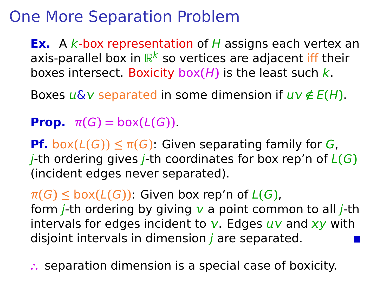**Ex.** A k-box representation of H assigns each vertex an axis-parallel box in  $\mathbb{R}^k$  so vertices are adjacent iff their boxes intersect. Boxicity box**(**H**)** is the least such k.

Boxes  $\mu \& \nu$  separated in some dimension if  $\mu \nu \notin E(H)$ .

**Prop.**  $\pi(G) = \text{box}(L(G))$ .

**Pf.** box $(L(G)) \leq \pi(G)$ : Given separating family for G,  $i$ -th ordering gives  $i$ -th coordinates for box rep'n of  $L(G)$ (incident edges never separated).

 $\pi(G) \leq$  box $(L(G))$ : Given box rep'n of  $L(G)$ , form *j*-th ordering by giving  $\bf{v}$  a point common to all *j*-th intervals for edges incident to  $v$ . Edges  $uv$  and  $xy$  with disjoint intervals in dimension  *are separated.* 

**∴** separation dimension is a special case of boxicity.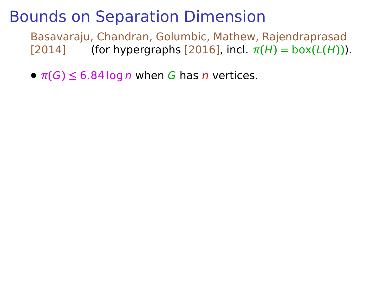Basavaraju, Chandran, Golumbic, Mathew, Rajendraprasad  $\lceil 2014 \rceil$  (for hypergraphs  $\lceil 2016 \rceil$ , incl.  $\pi(H) = \text{box}(L(H))$ ).

 $\bullet$   $\pi(G) \leq 6.84 \log n$  when G has n vertices.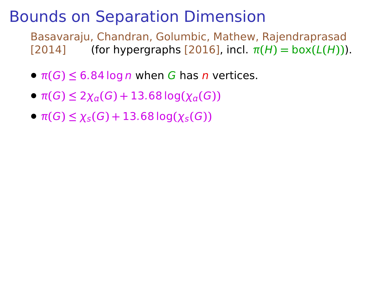- $\bullet$   $\pi(G) \leq 6.84 \log n$  when G has n vertices.
- $\bullet$  π(G) ≤ 2 $\chi$ <sub>a</sub>(G) + 13.68 log( $\chi$ <sub>a</sub>(G))
- $\bullet$  π(*G*) ≤  $\chi$ <sub>*s*</sub>(*G*) + 13.68 log( $\chi$ <sub>*s*</sub>(*G*))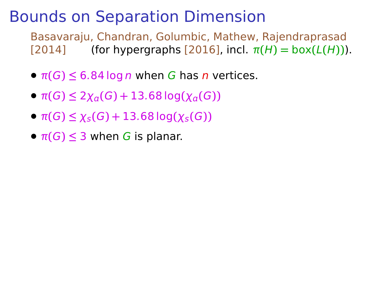- $\bullet$   $\pi(G) \leq 6.84 \log n$  when G has n vertices.
- $\bullet$  π(G) ≤ 2χ<sub>*α*</sub>(G) + 13.68 log(χ<sub>*α*</sub>(G))</sub>
- $\bullet$  π(G) ≤  $\chi$ <sub>s</sub>(G) + 13.68 log( $\chi$ <sub>s</sub>(G))
- $\pi(G) \leq 3$  when G is planar.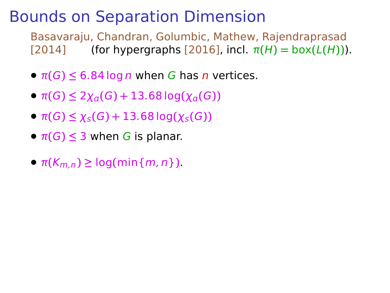- $\bullet$   $\pi(G) \leq 6.84 \log n$  when G has n vertices.
- $\bullet$  π(G) ≤ 2χ<sub>*α*</sub>(G) + 13.68 log(χ<sub>*α*</sub>(G))</sub>
- $\bullet$  π(G) ≤  $\chi$ <sub>s</sub>(G) + 13.68 log( $\chi$ <sub>s</sub>(G))
- $\pi(G) \leq 3$  when G is planar.
- $\bullet$   $\pi(K_{m,n}) \geq \log(\min\{m,n\})$ .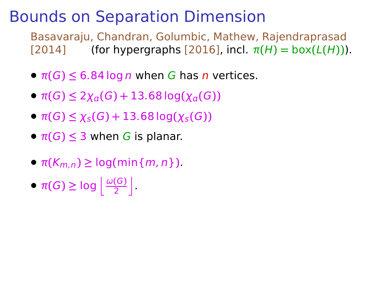- $\bullet$   $\pi(G) \leq 6.84 \log n$  when G has n vertices.
- $\bullet$  π(G) ≤ 2χ<sub>*α*</sub>(G) + 13.68 log(χ<sub>*α*</sub>(G))</sub>
- $\bullet$  π(G) ≤  $\chi$ <sub>s</sub>(G) + 13.68 log( $\chi$ <sub>s</sub>(G))
- $\pi(G) \leq 3$  when G is planar.
- $\bullet$   $\pi(K_{m,n}) \geq \log(\min\{m,n\})$ .
- $\pi(G) \geq \log \left\lfloor \frac{\omega(G)}{2} \right\rfloor$  $\left[\frac{(G)}{2}\right]$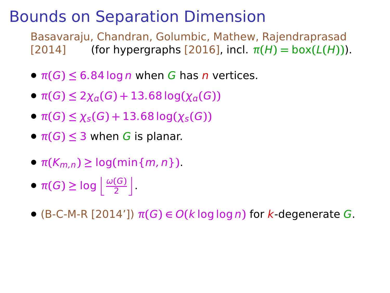- $\bullet$   $\pi(G) \leq 6.84 \log n$  when G has n vertices.
- $\bullet$  π(G) ≤ 2χ<sub>*α*</sub>(G) + 13.68 log(χ<sub>*α*</sub>(G))</sub>
- $\bullet$  π(G) ≤  $\chi$ <sub>s</sub>(G) + 13.68 log( $\chi$ <sub>s</sub>(G))
- $\pi(G) \leq 3$  when G is planar.
- $\bullet$   $\pi(K_{m,n}) \geq \log(\min\{m,n\})$ .
- $\pi(G) \geq \log \left\lfloor \frac{\omega(G)}{2} \right\rfloor$  $\left[\frac{(G)}{2}\right]$
- **•** (B-C-M-R [2014'])  $\pi(G) \in O(k \log \log n)$  for k-degenerate G.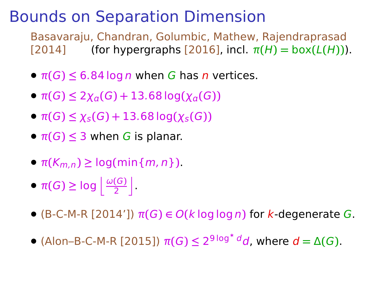- $\bullet$   $\pi(G) \leq 6.84 \log n$  when G has n vertices.
- $\bullet$  π(G) ≤ 2χ<sub>*α*</sub>(G) + 13.68 log(χ<sub>*α*</sub>(G))</sub>
- $\bullet$  π(G) ≤  $\chi$ <sub>s</sub>(G) + 13.68 log( $\chi$ <sub>s</sub>(G))
- $\pi(G) \leq 3$  when G is planar.
- $\bullet$   $\pi(K_{m,n}) \geq \log(\min\{m,n\})$ .
- $\pi(G) \geq \log \left\lfloor \frac{\omega(G)}{2} \right\rfloor$  $\left[\frac{(G)}{2}\right]$
- **•** (B-C-M-R [2014'])  $\pi(G) \in O(k \log \log n)$  for k-degenerate G.
- $\bullet$  (Alon–B-C-M-R [2015])  $\pi(G)$  ≤ 2<sup>9</sup><sup>log\*</sup><sup>d</sup>d, where  $d = Δ(G)$ .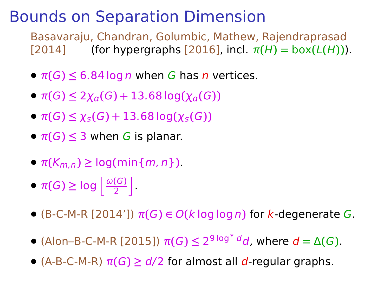- $\bullet$   $\pi(G) \leq 6.84 \log n$  when G has n vertices.
- $\bullet$  π(G) ≤ 2χ<sub>*α*</sub>(G) + 13.68 log(χ<sub>*α*</sub>(G))</sub>
- $\bullet$  π(G) ≤  $\chi$ <sub>s</sub>(G) + 13.68 log( $\chi$ <sub>s</sub>(G))
- $\pi(G) \leq 3$  when G is planar.
- $\bullet$   $\pi(K_{m,n}) \geq \log(\min\{m,n\})$ .
- $\pi(G) \geq \log \left\lfloor \frac{\omega(G)}{2} \right\rfloor$  $\left[\frac{(G)}{2}\right]$
- **•** (B-C-M-R [2014'])  $\pi(G) \in O(k \log \log n)$  for k-degenerate G.
- $\bullet$  (Alon–B-C-M-R [2015])  $\pi(G)$  ≤ 2<sup>9</sup><sup>log\*</sup><sup>d</sup>d, where  $d = Δ(G)$ .
- **•** (A-B-C-M-R) <sup>π</sup>**(**G**) <sup>≥</sup>** d/<sup>2</sup> for almost all <sup>d</sup>-regular graphs.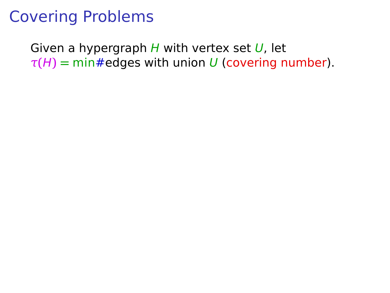Given a hypergraph  $H$  with vertex set  $U$ , let  $\tau(H)$  = min#edges with union U (covering number).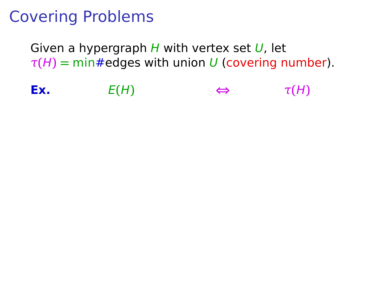Given a hypergraph  $H$  with vertex set  $U$ , let  $\tau(H)$  = min#edges with union U (covering number).

**Ex.**  $E(H) \Leftrightarrow \tau(H)$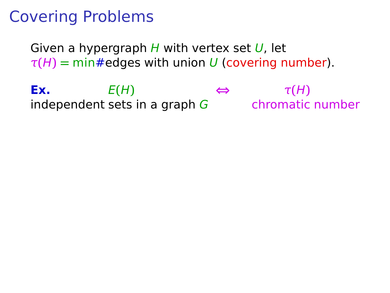Given a hypergraph  $H$  with vertex set  $U$ , let  $\tau(H)$  = min#edges with union U (covering number).

**Ex.**  $E(H) \Leftrightarrow \tau(H)$ independent sets in a graph  $G$  chromatic number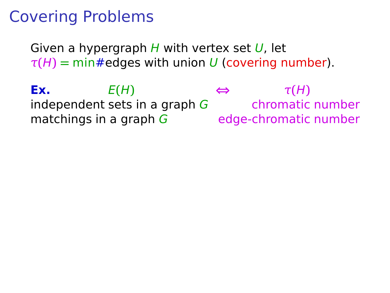Given a hypergraph  $H$  with vertex set  $U$ , let  $\tau(H)$  = min#edges with union U (covering number).

**Ex.**  $E(H) \Leftrightarrow \tau(H)$ independent sets in a graph  $G$  chromatic number matchings in a graph  $G$  edge-chromatic number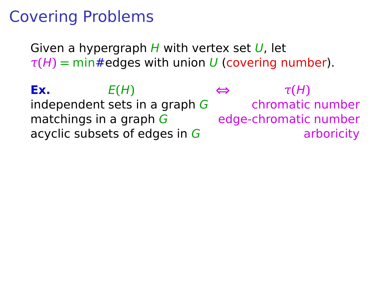Given a hypergraph  $H$  with vertex set  $U$ , let  $\tau(H)$  = min#edges with union U (covering number).

**Ex.**  $E(H) \Leftrightarrow \tau(H)$ independent sets in a graph  $G$  chromatic number matchings in a graph  $G$  edge-chromatic number acyclic subsets of edges in  $G$  arboricity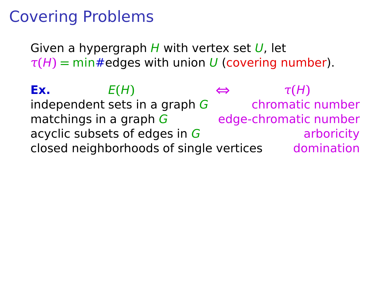Given a hypergraph  $H$  with vertex set  $U$ , let  $\tau(H)$  = min#edges with union U (covering number).

**Ex.**  $E(H) \Leftrightarrow \tau(H)$ independent sets in a graph  $G$  chromatic number matchings in a graph  $G$  edge-chromatic number acyclic subsets of edges in  $G$  arboricity closed neighborhoods of single vertices domination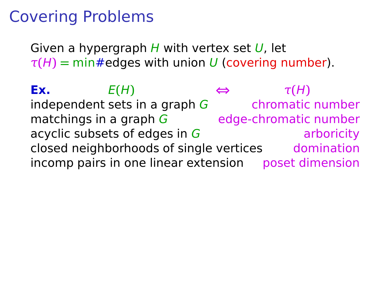Given a hypergraph  $H$  with vertex set  $U$ , let  $\tau(H)$  = min#edges with union U (covering number).

**Ex.**  $E(H) \Leftrightarrow \tau(H)$ independent sets in a graph  $G$  chromatic number matchings in a graph  $G$  edge-chromatic number acyclic subsets of edges in  $G$  arboricity closed neighborhoods of single vertices domination incomp pairs in one linear extension poset dimension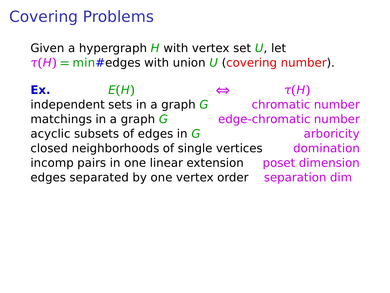Given a hypergraph  $H$  with vertex set  $U$ , let  $\tau(H)$  = min#edges with union U (covering number).

**Ex.**  $E(H) \Leftrightarrow \tau(H)$ independent sets in a graph  $G$  chromatic number matchings in a graph  $G$  edge-chromatic number acyclic subsets of edges in  $G$  arboricity closed neighborhoods of single vertices domination incomp pairs in one linear extension poset dimension edges separated by one vertex order separation dim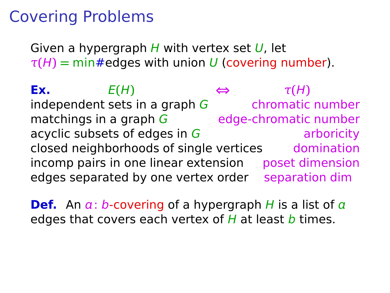Given a hypergraph  $H$  with vertex set  $U$ , let  $\tau(H)$  = min#edges with union U (covering number).

**Ex.**  $E(H) \Leftrightarrow \tau(H)$ independent sets in a graph  $G$  chromatic number matchings in a graph  $G$  edge-chromatic number acyclic subsets of edges in  $G$  arboricity closed neighborhoods of single vertices domination incomp pairs in one linear extension poset dimension edges separated by one vertex order separation dim

**Def.** An  $a: b$ -covering of a hypergraph H is a list of  $a$ edges that covers each vertex of  $H$  at least  $b$  times.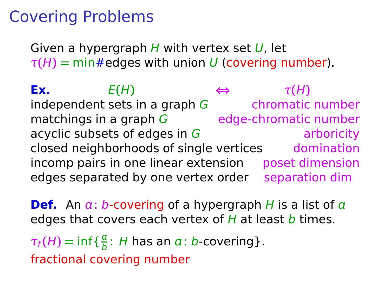Given a hypergraph  $H$  with vertex set  $U$ , let  $\tau(H)$  = min#edges with union U (covering number).

**Ex.**  $E(H) \Leftrightarrow \tau(H)$ independent sets in a graph  $G$  chromatic number matchings in a graph  $G$  edge-chromatic number acyclic subsets of edges in  $G$  arboricity closed neighborhoods of single vertices domination incomp pairs in one linear extension poset dimension edges separated by one vertex order separation dim

**Def.** An  $a: b$ -covering of a hypergraph H is a list of  $a$ edges that covers each vertex of  $H$  at least  $b$  times.

 $\tau_f(H) = \inf \{ \frac{a}{b}$  $\frac{a}{b}$ : H has an  $a$ : b-covering}. fractional covering number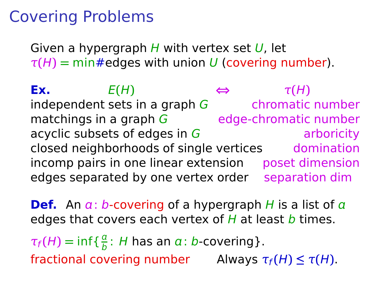Given a hypergraph  $H$  with vertex set  $U$ , let  $\tau(H)$  = min#edges with union U (covering number).

**Ex.**  $E(H) \Leftrightarrow \tau(H)$ independent sets in a graph  $G$  chromatic number matchings in a graph  $G$  edge-chromatic number acyclic subsets of edges in  $G$  arboricity closed neighborhoods of single vertices domination incomp pairs in one linear extension poset dimension edges separated by one vertex order separation dim

**Def.** An  $a: b$ -covering of a hypergraph H is a list of  $a$ edges that covers each vertex of  $H$  at least  $b$  times.

 $\tau_f(H) = \inf \{ \frac{a}{b}$  $\frac{a}{b}$ : H has an  $a$ : b-covering}.  $\text{fractional covering number}$  Always  $\tau_f(H) \leq \tau(H)$ .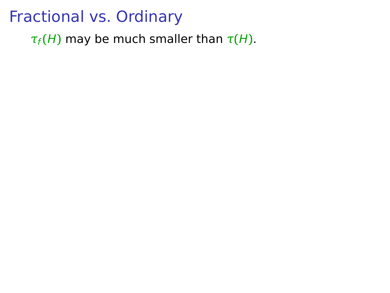$\tau_f(H)$  may be much smaller than  $\tau(H)$ .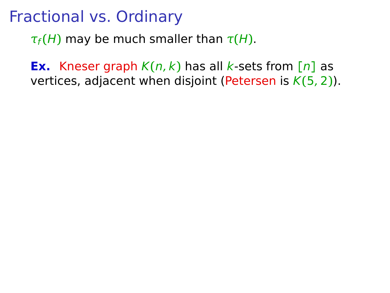$\tau_f(H)$  may be much smaller than  $\tau(H)$ .

**Ex.** Kneser graph  $K(n, k)$  has all k-sets from  $[n]$  as vertices, adjacent when disjoint (Petersen is K**(**5, 2**)**).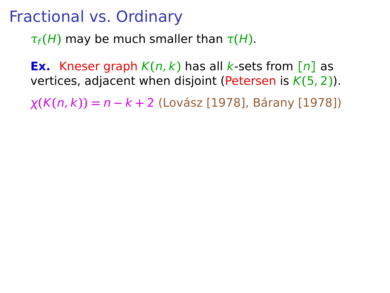$\tau_f(H)$  may be much smaller than  $\tau(H)$ .

**Ex.** Kneser graph  $K(n, k)$  has all k-sets from  $[n]$  as vertices, adjacent when disjoint (Petersen is K**(**5, 2**)**).

χ**(**K**(**n, k**)) =** n **−** k **+** 2 (Lovász [1978], Bárany [1978])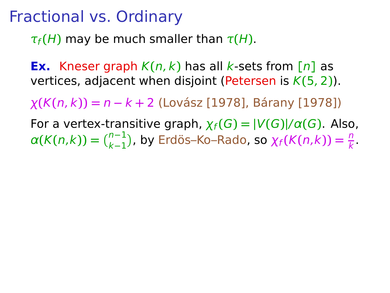$\tau_f(H)$  may be much smaller than  $\tau(H)$ .

**Ex.** Kneser graph  $K(n, k)$  has all k-sets from  $[n]$  as vertices, adjacent when disjoint (Petersen is K**(**5, 2**)**).

χ**(**K**(**n, k**)) =** n **−** k **+** 2 (Lovász [1978], Bárany [1978])

For a vertex-transitive graph,  $\chi_f(G) = |V(G)|/\alpha(G)$ . Also,  $\alpha(K(n,k)) = \binom{n-1}{k-1}$ , by Erdös–Ko–Rado, so  $\chi_f(K(n,k)) = \frac{n}{k}$ .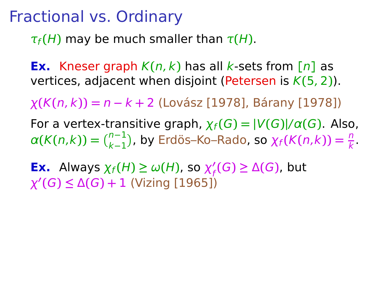$\tau_f(H)$  may be much smaller than  $\tau(H)$ .

**Ex.** Kneser graph  $K(n, k)$  has all k-sets from  $[n]$  as vertices, adjacent when disjoint (Petersen is K**(**5, 2**)**).

χ**(**K**(**n, k**)) =** n **−** k **+** 2 (Lovász [1978], Bárany [1978])

For a vertex-transitive graph,  $\chi_f(G) = |V(G)| / \alpha(G)$ . Also,  $\alpha(K(n,k)) = \binom{n-1}{k-1}$ , by Erdös–Ko–Rado, so  $\chi_f(K(n,k)) = \frac{n}{k}$ .

**Ex.** Always  $\chi_f(H) \ge \omega(H)$ , so  $\chi'_f(G) \ge \Delta(G)$ , but χ **′ (**G**) ≤** Δ**(**G**) +** 1 (Vizing [1965])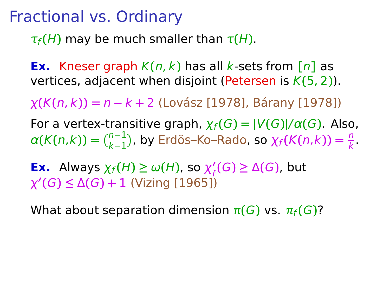$\tau_f(H)$  may be much smaller than  $\tau(H)$ .

**Ex.** Kneser graph  $K(n, k)$  has all k-sets from  $[n]$  as vertices, adjacent when disjoint (Petersen is K**(**5, 2**)**).

χ**(**K**(**n, k**)) =** n **−** k **+** 2 (Lovász [1978], Bárany [1978])

For a vertex-transitive graph,  $\chi_f(G) = |V(G)| / \alpha(G)$ . Also,  $\alpha(K(n,k)) = \binom{n-1}{k-1}$ , by Erdös–Ko–Rado, so  $\chi_f(K(n,k)) = \frac{n}{k}$ .

**Ex.** Always  $\chi_f(H) \ge \omega(H)$ , so  $\chi'_f(G) \ge \Delta(G)$ , but χ **′ (**G**) ≤** Δ**(**G**) +** 1 (Vizing [1965])

What about separation dimension  $\pi(G)$  vs.  $\pi_f(G)$ ?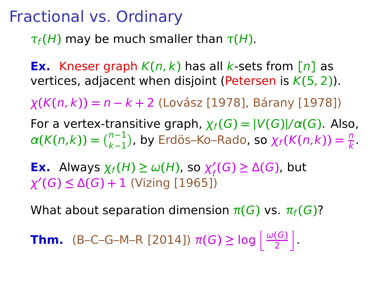$\tau_f(H)$  may be much smaller than  $\tau(H)$ .

**Ex.** Kneser graph  $K(n, k)$  has all k-sets from  $[n]$  as vertices, adjacent when disjoint (Petersen is K**(**5, 2**)**).

χ**(**K**(**n, k**)) =** n **−** k **+** 2 (Lovász [1978], Bárany [1978])

For a vertex-transitive graph,  $\chi_f(G) = |V(G)|/\alpha(G)$ . Also,  $\alpha(K(n,k)) = \binom{n-1}{k-1}$ , by Erdös–Ko–Rado, so  $\chi_f(K(n,k)) = \frac{n}{k}$ .

**Ex.** Always  $\chi_f(H) \ge \omega(H)$ , so  $\chi'_f(G) \ge \Delta(G)$ , but χ **′ (**G**) ≤** Δ**(**G**) +** 1 (Vizing [1965])

What about separation dimension  $\pi(G)$  vs.  $\pi_f(G)$ ?

**Thm.** (B–C–G–M–R [2014])  $\pi(G) \ge \log \left| \frac{\omega(G)}{2} \right|$  $\left[\frac{(G)}{2}\right]$ .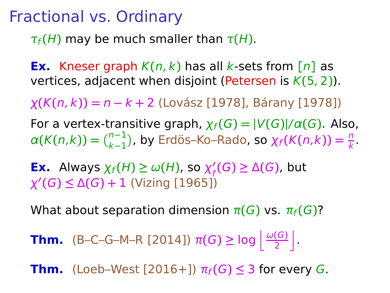$\tau_f(H)$  may be much smaller than  $\tau(H)$ .

**Ex.** Kneser graph  $K(n, k)$  has all k-sets from  $[n]$  as vertices, adjacent when disjoint (Petersen is K**(**5, 2**)**).

χ**(**K**(**n, k**)) =** n **−** k **+** 2 (Lovász [1978], Bárany [1978])

For a vertex-transitive graph,  $\chi_f(G) = |V(G)|/\alpha(G)$ . Also,  $\alpha(K(n,k)) = \binom{n-1}{k-1}$ , by Erdös–Ko–Rado, so  $\chi_f(K(n,k)) = \frac{n}{k}$ .

**Ex.** Always  $\chi_f(H) \ge \omega(H)$ , so  $\chi'_f(G) \ge \Delta(G)$ , but χ **′ (**G**) ≤** Δ**(**G**) +** 1 (Vizing [1965])

What about separation dimension  $\pi(G)$  vs.  $\pi_f(G)$ ?

**Thm.** (B–C–G–M–R [2014])  $\pi(G) \ge \log \left| \frac{\omega(G)}{2} \right|$  $\left[\frac{(G)}{2}\right]$ .

**Thm.** (Loeb–West  $[2016+]$ )  $\pi_f(G) \leq 3$  for every G.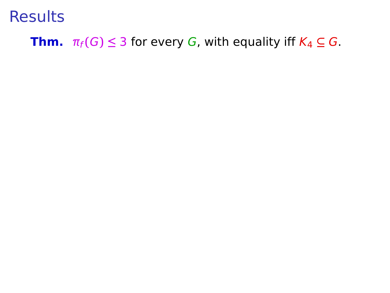#### **Thm.**  $\pi_f(G) \leq 3$  for every G, with equality iff  $K_4 \subseteq G$ .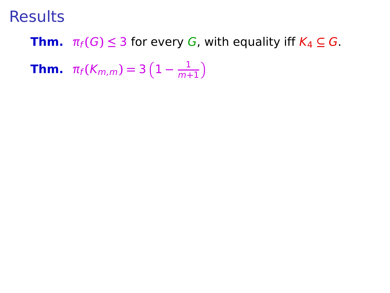#### **Thm.**  $\pi_f(G) \leq 3$  for every G, with equality iff  $K_4 \subseteq G$ .

**Thm.**  $\pi_f(K_{m,m}) = 3(1 - \frac{1}{m+1})$  $\frac{1}{m+1}$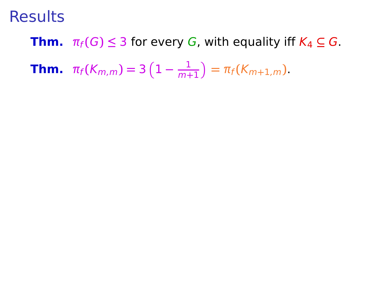**Thm.**  $\pi_f(G) \leq 3$  for every G, with equality iff  $K_4 \subseteq G$ .

**Thm.**  $\pi_f(K_{m,m}) = 3(1 - \frac{1}{m+1})$  $\frac{1}{m+1}$ ) =  $\pi_f(K_{m+1,m})$ .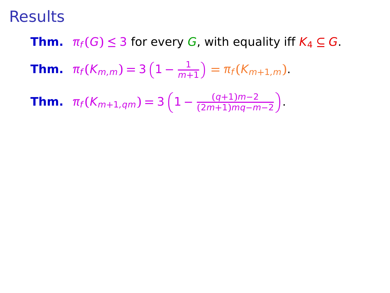**Thm.**  $\pi_f(G) \leq 3$  for every G, with equality iff  $K_4 \subseteq G$ .

**Thm.**  $\pi_f(K_{m,m}) = 3(1 - \frac{1}{m+1})$  $\frac{1}{m+1}$ ) =  $\pi_f(K_{m+1,m})$ .

**Thm.** 
$$
\pi_f(K_{m+1,qm}) = 3\left(1 - \frac{(q+1)m-2}{(2m+1)mq-m-2}\right)
$$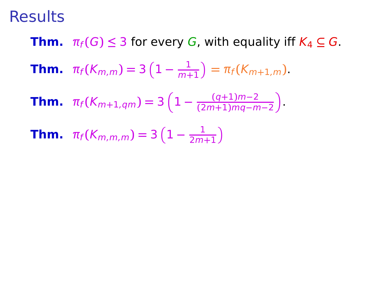**Thm.**  $\pi_f(G) \leq 3$  for every G, with equality iff  $K_4 \subseteq G$ .

**Thm.** 
$$
\pi_f(K_{m,m}) = 3\left(1 - \frac{1}{m+1}\right) = \pi_f(K_{m+1,m}).
$$

**Thm.** 
$$
\pi_f(K_{m+1,qm}) = 3\left(1 - \frac{(q+1)m-2}{(2m+1)mq-m-2}\right)
$$

**Thm.** 
$$
\pi_f(K_{m,m,m}) = 3\left(1 - \frac{1}{2m+1}\right)
$$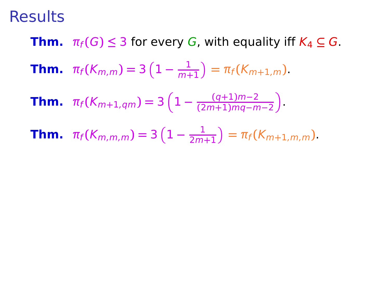**Thm.**  $\pi_f(G) \leq 3$  for every G, with equality iff  $K_4 \subseteq G$ .

**Thm.** 
$$
\pi_f(K_{m,m}) = 3\left(1 - \frac{1}{m+1}\right) = \pi_f(K_{m+1,m}).
$$

**Thm.** 
$$
\pi_f(K_{m+1,qm}) = 3\left(1 - \frac{(q+1)m-2}{(2m+1)mq-m-2}\right)
$$

**Thm.** 
$$
\pi_f(K_{m,m,m}) = 3\left(1 - \frac{1}{2m+1}\right) = \pi_f(K_{m+1,m,m}).
$$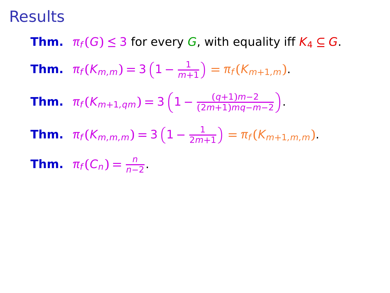**Thm.**  $\pi_f(G) \leq 3$  for every G, with equality iff  $K_4 \subseteq G$ .

**Thm.** 
$$
\pi_f(K_{m,m}) = 3\left(1 - \frac{1}{m+1}\right) = \pi_f(K_{m+1,m}).
$$

**Thm.** 
$$
\pi_f(K_{m+1,qm}) = 3\left(1 - \frac{(q+1)m-2}{(2m+1)mq-m-2}\right)
$$

**Thm.** 
$$
\pi_f(K_{m,m,m}) = 3\left(1 - \frac{1}{2m+1}\right) = \pi_f(K_{m+1,m,m}).
$$

**Thm.**  $\pi_f(C_n) = \frac{n}{n-2}$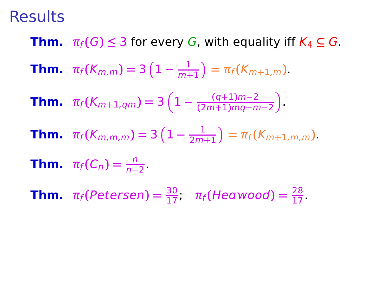**Thm.**  $\pi_f(G) \leq 3$  for every G, with equality iff  $K_4 \subseteq G$ . **Thm.**  $\pi_f(K_{m,m}) = 3(1 - \frac{1}{m+1})$  $\frac{1}{m+1}$ ) =  $\pi_f(K_{m+1,m})$ . **Thm.**  $\pi_f(K_{m+1,qm}) = 3\left(1 - \frac{(q+1)m-2}{(2m+1)mq-n}\right)$ **(**2m**+**1**)**mq**−**m**−**2 .

**Thm.** 
$$
\pi_f(K_{m,m,m}) = 3\left(1 - \frac{1}{2m+1}\right) = \pi_f(K_{m+1,m,m}).
$$

**Thm.** 
$$
\pi_f(C_n) = \frac{n}{n-2}.
$$

**Thm.**  $\pi_f(Petersen) = \frac{30}{17}$ ,  $\pi_f(Heawood) = \frac{28}{17}$ .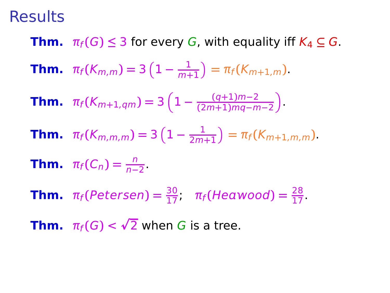**Thm.**  $\pi_f(G) \leq 3$  for every G, with equality iff  $K_4 \subseteq G$ . **Thm.**  $\pi_f(K_{m,m}) = 3(1 - \frac{1}{m+1})$  $\frac{1}{m+1}$ ) =  $\pi_f(K_{m+1,m})$ . **Thm.**  $\pi_f(K_{m+1,qm}) = 3\left(1 - \frac{(q+1)m-2}{(2m+1)mq-n}\right)$ **(**2m**+**1**)**mq**−**m**−**2 .

**Thm.** 
$$
\pi_f(K_{m,m,m}) = 3\left(1 - \frac{1}{2m+1}\right) = \pi_f(K_{m+1,m,m}).
$$

**Thm.** 
$$
\pi_f(C_n) = \frac{n}{n-2}
$$

**Thm.**  $\pi_f(Petersen) = \frac{30}{17}$ ,  $\pi_f(Heawood) = \frac{28}{17}$ .

**Thm.**  $\pi_f(G) < \sqrt{2}$  when G is a tree.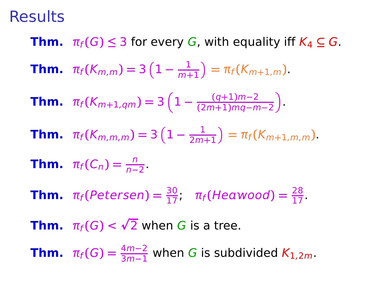**Thm.**  $\pi_f(G) \leq 3$  for every G, with equality iff  $K_4 \subseteq G$ . **Thm.**  $\pi_f(K_{m,m}) = 3(1 - \frac{1}{m+1})$  $\frac{1}{m+1}$ ) =  $\pi_f(K_{m+1,m})$ . **Thm.**  $\pi_f(K_{m+1,qm}) = 3\left(1 - \frac{(q+1)m-2}{(2m+1)mq-n}\right)$ **(**2m**+**1**)**mq**−**m**−**2 .

**Thm.**  $\pi_f(K_{m,m,m}) = 3(1 - \frac{1}{2m})$  $\frac{1}{2m+1}$ ) =  $\pi_f(K_{m+1,m,m})$ .

**Thm.** 
$$
\pi_f(C_n) = \frac{n}{n-2}.
$$

**Thm.**  $\pi_f(Petersen) = \frac{30}{17}$ ,  $\pi_f(Heawood) = \frac{28}{17}$ .

**Thm.**  $\pi_f(G) < \sqrt{2}$  when G is a tree.

**Thm.**  $\pi_f(G) = \frac{4m-2}{3m-1}$  when G is subdivided  $K_{1,2m}$ .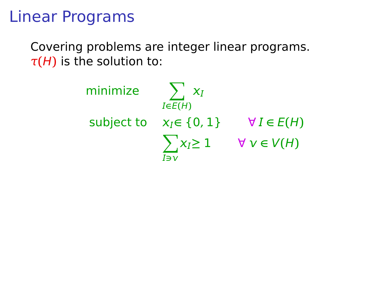# Linear Programs

Covering problems are integer linear programs.  $\tau$ (H) is the solution to:

> minimize  $\sum x_l$  $I \in E(H)$ subject to  $x_I \in \{0, 1\}$   $\forall I \in E(H)$  $\sum x_i \geq 1$   $\forall v \in V(H)$ **∋**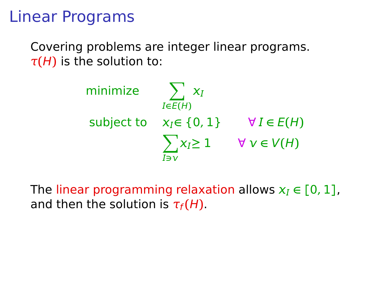# Linear Programs

Covering problems are integer linear programs.  $\tau$ (H) is the solution to:

> minimize  $\sum x_l$  $I \in E(H)$ subject to  $x_i \in \{0, 1\}$   $\forall I \in E(H)$  $\sum x_i \geq 1$   $\forall v \in V(H)$ **∋**

The linear programming relaxation allows  $x_I \in [0, 1]$ , and then the solution is  $\tau_f(H)$ .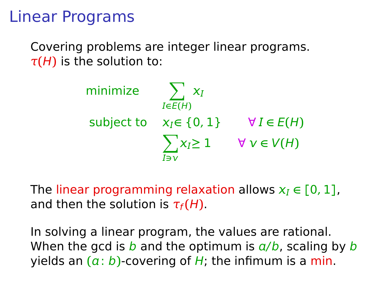# Linear Programs

Covering problems are integer linear programs.  $\tau$ (H) is the solution to:

> minimize  $\sum x_l$  $I \in E(H)$ subject to  $x_i \in \{0, 1\}$   $\forall I \in E(H)$  $\sum x_i \geq 1$   $\forall v \in V(H)$ **∋**

The linear programming relaxation allows  $x_i \in [0, 1]$ , and then the solution is  $\tau_f(H)$ .

In solving a linear program, the values are rational. When the gcd is b and the optimum is  $a/b$ , scaling by b yields an  $(a:b)$ -covering of H; the infimum is a min.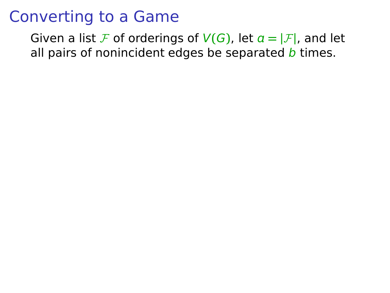Given a list F of orderings of  $V(G)$ , let  $\alpha = |\mathcal{F}|$ , and let all pairs of nonincident edges be separated  $b$  times.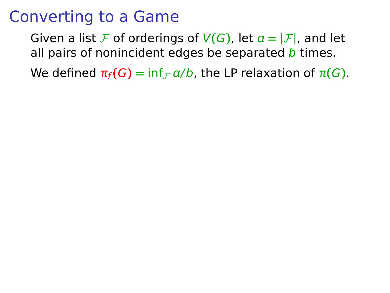Given a list F of orderings of  $V(G)$ , let  $\alpha = |\mathcal{F}|$ , and let all pairs of nonincident edges be separated  *times.* 

We defined  $\pi_f(G) = \inf_{F} a/b$ , the LP relaxation of  $\pi(G)$ .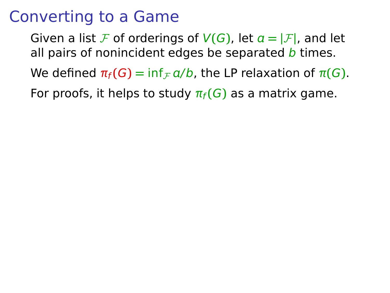Given a list F of orderings of  $V(G)$ , let  $a = |F|$ , and let all pairs of nonincident edges be separated  *times.* 

We defined  $\pi_f(G) = \inf_{F} a/b$ , the LP relaxation of  $\pi(G)$ .

For proofs, it helps to study  $\pi_f(G)$  as a matrix game.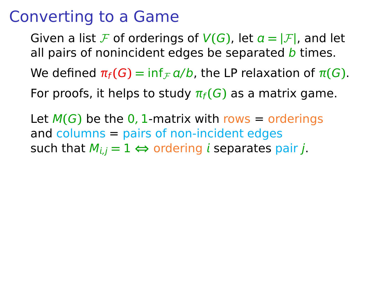Given a list F of orderings of  $V(G)$ , let  $a = |F|$ , and let all pairs of nonincident edges be separated  *times.* 

We defined  $\pi_f(G) = \inf_{F} a/b$ , the LP relaxation of  $\pi(G)$ .

For proofs, it helps to study  $\pi_f(G)$  as a matrix game.

Let  $M(G)$  be the 0, 1-matrix with rows = orderings and columns = pairs of non-incident edges such that  $M_{i,j} = 1 \Leftrightarrow$  ordering *i* separates pair *j*.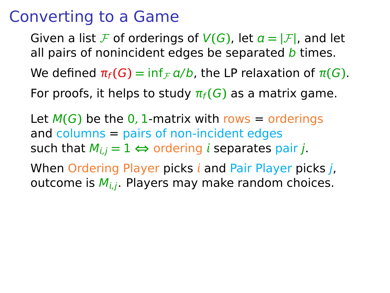Given a list F of orderings of  $V(G)$ , let  $a = |F|$ , and let all pairs of nonincident edges be separated  *times.* We defined  $\pi_f(G) = \inf_{F} a/b$ , the LP relaxation of  $\pi(G)$ .

For proofs, it helps to study  $\pi_f(G)$  as a matrix game.

Let  $M(G)$  be the 0, 1-matrix with rows = orderings and columns = pairs of non-incident edges such that  $M_{i,j} = 1 \Leftrightarrow$  ordering *i* separates pair *j*.

When Ordering Player picks  $i$  and Pair Player picks  $j$ , outcome is  $M_{i,j}$ . Players may make random choices.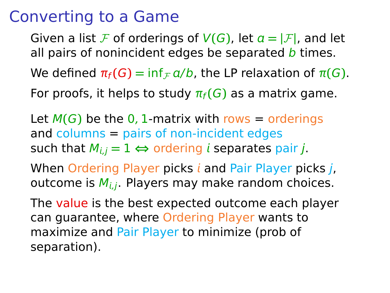Given a list F of orderings of  $V(G)$ , let  $a = |F|$ , and let all pairs of nonincident edges be separated  *times.* We defined  $\pi_f(G) = \inf_{F} a/b$ , the LP relaxation of  $\pi(G)$ .

For proofs, it helps to study  $\pi_f(G)$  as a matrix game.

Let  $M(G)$  be the 0, 1-matrix with rows = orderings and columns = pairs of non-incident edges such that  $M_{i,j} = 1 \Leftrightarrow$  ordering *i* separates pair *j*.

When Ordering Player picks  $i$  and Pair Player picks  $j$ , outcome is  $M_{i,j}$ . Players may make random choices.

The value is the best expected outcome each player can guarantee, where Ordering Player wants to maximize and Pair Player to minimize (prob of separation).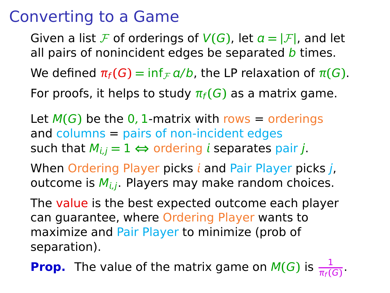Given a list F of orderings of  $V(G)$ , let  $a = |F|$ , and let all pairs of nonincident edges be separated  *times.* We defined  $\pi_f(G) = \inf_{F} a/b$ , the LP relaxation of  $\pi(G)$ .

For proofs, it helps to study  $\pi_f(G)$  as a matrix game.

Let  $M(G)$  be the 0, 1-matrix with rows = orderings and columns = pairs of non-incident edges such that  $M_{i,j} = 1 \Leftrightarrow$  ordering *i* separates pair *j*.

When Ordering Player picks  $i$  and Pair Player picks  $j$ , outcome is  $M_{i,j}$ . Players may make random choices.

The value is the best expected outcome each player can guarantee, where Ordering Player wants to maximize and Pair Player to minimize (prob of separation).

**Prop.** The value of the matrix game on  $M(G)$  is  $\frac{1}{\pi_f(G)}$ .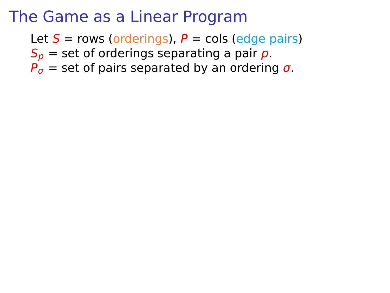## The Game as a Linear Program

Let  $S = rows$  (orderings),  $P = \text{cols}$  (edge pairs)

 $S_p$  = set of orderings separating a pair p.

 $P_{\sigma}$  = set of pairs separated by an ordering  $\sigma$ .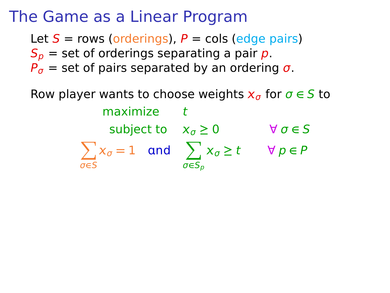# The Game as a Linear Program

Let  $S = rows$  (orderings),  $P = \text{cols}$  (edge pairs)  $S_p$  = set of orderings separating a pair p.  $P_{\sigma}$  = set of pairs separated by an ordering  $\sigma$ .

Row player wants to choose weights  $x_{\sigma}$  for  $\sigma \in S$  to maximize t subject to  $x_{\sigma} \ge 0$   $\forall \sigma \in S$  $\sum$ σ**∈**S  $x_{\sigma} = 1$  and  $\sum$ σ**∈**S<sup>p</sup> <sup>σ</sup> **≥** t ∀ p **∈** P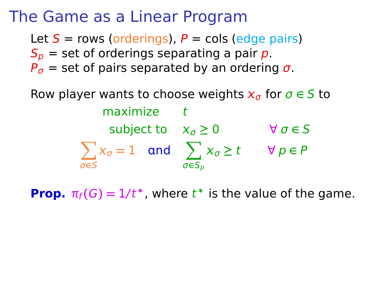## The Game as a Linear Program

Let  $S = rows$  (orderings),  $P = \text{cols}$  (edge pairs)  $S_p$  = set of orderings separating a pair p.  $P_{\sigma}$  = set of pairs separated by an ordering  $\sigma$ .

Row player wants to choose weights  $x_{\sigma}$  for  $\sigma \in S$  to maximize t subject to  $x_{\sigma} \ge 0$   $\forall \sigma \in S$  $\sum$ σ**∈**S  $x_{\sigma} = 1$  and  $\sum$ σ**∈**S<sup>p</sup> <sup>σ</sup> **≥** t ∀ p **∈** P

**Prop.**  $\pi_f(G) = 1/t^*$ , where  $t^*$  is the value of the game.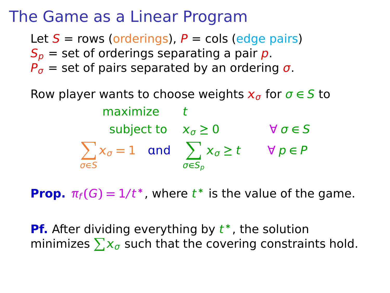#### The Game as a Linear Program

Let  $S = rows$  (orderings),  $P = \text{cols}$  (edge pairs)  $S_p$  = set of orderings separating a pair p.  $P_{\sigma}$  = set of pairs separated by an ordering  $\sigma$ .

Row player wants to choose weights  $x_{\sigma}$  for  $\sigma \in S$  to maximize t subject to  $x_{\sigma} \ge 0$   $\forall \sigma \in S$  $\sum$ σ**∈**S  $x_{\sigma} = 1$  and  $\sum x_{\sigma} \ge t$   $\forall p \in P$ σ**∈**S<sup>p</sup>

**Prop.**  $\pi_f(G) = 1/t^*$ , where  $t^*$  is the value of the game.

**Pf.** After dividing everything by  $t^*$ , the solution minimizes  $\sum \mathsf{x}_{\sigma}$  such that the covering constraints hold.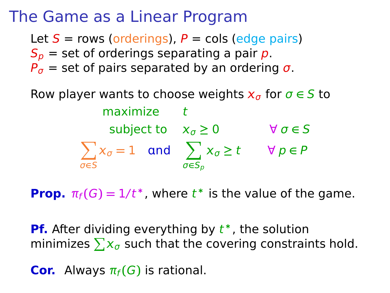#### The Game as a Linear Program

Let  $S = rows$  (orderings),  $P = \text{cols}$  (edge pairs)  $S_p$  = set of orderings separating a pair p.  $P_{\sigma}$  = set of pairs separated by an ordering  $\sigma$ .

Row player wants to choose weights  $x_{\sigma}$  for  $\sigma \in S$  to maximize t subject to  $x_{\sigma} \ge 0$   $\forall \sigma \in S$  $\sum$ σ**∈**S  $x_{\sigma} = 1$  and  $\sum x_{\sigma} \ge t$   $\forall p \in P$ σ**∈**S<sup>p</sup>

**Prop.**  $\pi_f(G) = 1/t^*$ , where  $t^*$  is the value of the game.

**Pf.** After dividing everything by  $t^*$ , the solution minimizes  $\sum \mathsf{x}_{\sigma}$  such that the covering constraints hold.

**Cor.** Always  $\pi_f(G)$  is rational.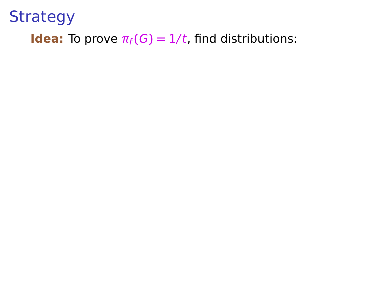#### **Idea:** To prove  $\pi_f(G) = 1/t$ , find distributions: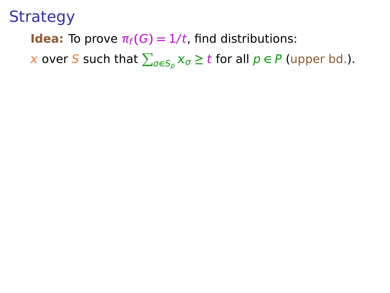**Idea:** To prove  $\pi_f(G) = 1/t$ , find distributions:

 $\boldsymbol{\chi}$  over  $\boldsymbol{S}$  such that  $\sum_{\sigma\in\mathcal{S}_p} \chi_{\sigma} \geq t$  for all  $p\in\mathit{P}$  (upper bd.).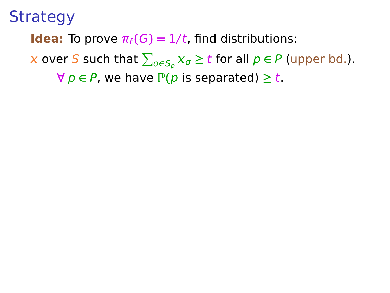**Idea:** To prove  $\pi_f(G) = 1/t$ , find distributions:

 $\boldsymbol{\chi}$  over  $\boldsymbol{S}$  such that  $\sum_{\sigma\in\mathcal{S}_p} \chi_{\sigma} \geq t$  for all  $p\in\mathit{P}$  (upper bd.).

 $\forall p \in P$ , we have  $P(p$  is separated)  $\geq t$ .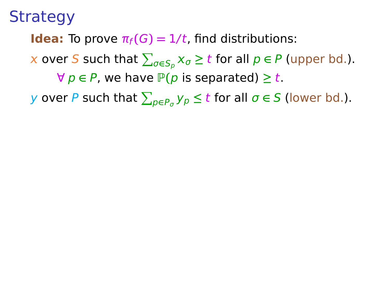**Idea:** To prove  $\pi_f(G) = 1/t$ , find distributions:

 $\boldsymbol{\chi}$  over  $\boldsymbol{S}$  such that  $\sum_{\sigma\in\mathcal{S}_p} \chi_{\sigma} \geq t$  for all  $p\in\mathit{P}$  (upper bd.).

 $\forall p \in P$ , we have  $P(p$  is separated)  $\geq t$ .

 $y$  over  $P$  such that  $\sum_{p\in P_{\sigma}}y_p\leq t$  for all  $\sigma\in S$  (lower bd.).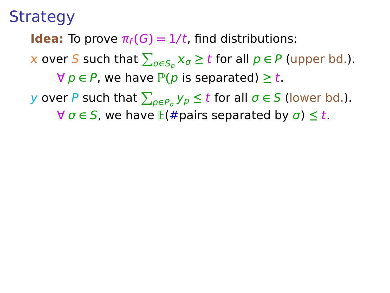**Idea:** To prove  $\pi_f(G) = 1/t$ , find distributions:

 $\boldsymbol{\chi}$  over  $\boldsymbol{S}$  such that  $\sum_{\sigma\in\mathcal{S}_p} \chi_{\sigma} \geq t$  for all  $p\in\mathit{P}$  (upper bd.).

 $∀ p ∈ P$ , we have  $P(p$  is separated)  $≥ t$ .

 $y$  over  $P$  such that  $\sum_{p\in P_{\sigma}}y_p\leq t$  for all  $\sigma\in S$  (lower bd.).

 $\forall \sigma \in S$ , we have  $E(\text{#pairs separated by } \sigma) \leq t$ .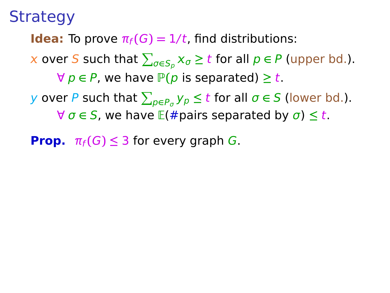**Idea:** To prove  $\pi_f(G) = 1/t$ , find distributions:

 $\boldsymbol{\chi}$  over  $\boldsymbol{S}$  such that  $\sum_{\sigma\in\mathcal{S}_p} \chi_{\sigma} \geq t$  for all  $p\in\mathit{P}$  (upper bd.).

<sup>∀</sup> <sup>p</sup> **<sup>∈</sup>** <sup>P</sup>, we have <sup>P</sup>**(**<sup>p</sup> is separated) **<sup>≥</sup>** <sup>t</sup>.

 $y$  over  $P$  such that  $\sum_{p\in P_{\sigma}}y_p\leq t$  for all  $\sigma\in S$  (lower bd.).  $\forall \sigma \in S$ , we have  $E(\text{#pairs separated by } \sigma) \leq t$ .

**Prop.**  $\pi_f(G) \leq 3$  for every graph G.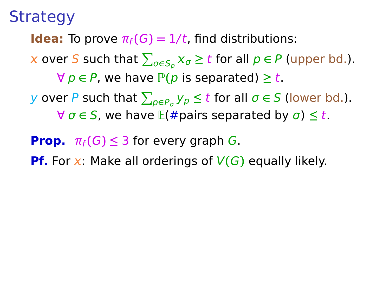**Idea:** To prove  $\pi_f(G) = 1/t$ , find distributions:

 $\boldsymbol{\chi}$  over  $\boldsymbol{S}$  such that  $\sum_{\sigma\in\mathcal{S}_p} \chi_{\sigma} \geq t$  for all  $p\in\mathit{P}$  (upper bd.).

 $\forall p \in P$ , we have  $P(p$  is separated)  $\geq t$ .

- $y$  over  $P$  such that  $\sum_{p\in P_{\sigma}}y_p\leq t$  for all  $\sigma\in S$  (lower bd.).  $\forall \sigma \in S$ , we have  $E(\text{#pairs separated by } \sigma) \leq t$ .
- **Prop.**  $\pi_f(G) \leq 3$  for every graph G.
- **Pf.** For x: Make all orderings of  $V(G)$  equally likely.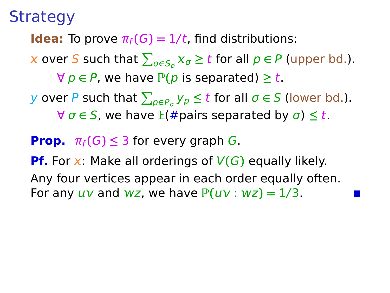**Idea:** To prove  $\pi_f(G) = 1/t$ , find distributions:

 $\boldsymbol{\chi}$  over  $\boldsymbol{S}$  such that  $\sum_{\sigma\in\mathcal{S}_p} \chi_{\sigma} \geq t$  for all  $p\in\mathit{P}$  (upper bd.).

<sup>∀</sup> <sup>p</sup> **<sup>∈</sup>** <sup>P</sup>, we have <sup>P</sup>**(**<sup>p</sup> is separated) **<sup>≥</sup>** <sup>t</sup>.

 $y$  over  $P$  such that  $\sum_{p\in P_{\sigma}}y_p\leq t$  for all  $\sigma\in S$  (lower bd.).  $\forall \sigma \in S$ , we have  $E(\text{#pairs separated by } \sigma) \leq t$ .

**Prop.**  $\pi_f(G) \leq 3$  for every graph *G*.

**Pf.** For x: Make all orderings of  $V(G)$  equally likely. Any four vertices appear in each order equally often. For any  $uv$  and  $wz$ , we have  $P(uv : wz) = 1/3$ .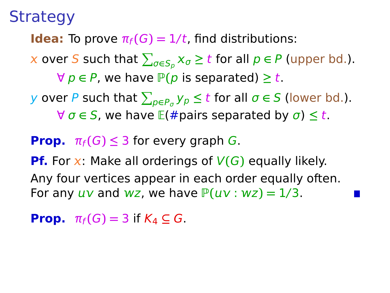**Idea:** To prove  $\pi_f(G) = 1/t$ , find distributions:

 $\boldsymbol{\chi}$  over  $\boldsymbol{S}$  such that  $\sum_{\sigma\in\mathcal{S}_p} \chi_{\sigma} \geq t$  for all  $p\in\mathit{P}$  (upper bd.).

<sup>∀</sup> <sup>p</sup> **<sup>∈</sup>** <sup>P</sup>, we have <sup>P</sup>**(**<sup>p</sup> is separated) **<sup>≥</sup>** <sup>t</sup>.

 $y$  over  $P$  such that  $\sum_{p\in P_{\sigma}}y_p\leq t$  for all  $\sigma\in S$  (lower bd.).  $\forall \sigma \in S$ , we have  $E(\text{#pairs separated by } \sigma) \leq t$ .

**Prop.**  $\pi_f(G) \leq 3$  for every graph *G*.

**Pf.** For x: Make all orderings of  $V(G)$  equally likely. Any four vertices appear in each order equally often. For any  $uv$  and  $wz$ , we have  $P(uv : wz) = 1/3$ .

**Prop.**  $\pi_f(G) = 3$  if  $K_4 \subseteq G$ .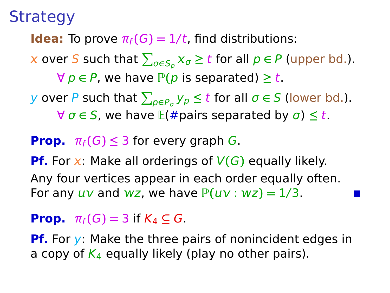**Idea:** To prove  $\pi_f(G) = 1/t$ , find distributions:

 $\boldsymbol{\chi}$  over  $\boldsymbol{S}$  such that  $\sum_{\sigma\in\mathcal{S}_p} \chi_{\sigma} \geq t$  for all  $p\in\mathit{P}$  (upper bd.).

<sup>∀</sup> <sup>p</sup> **<sup>∈</sup>** <sup>P</sup>, we have <sup>P</sup>**(**<sup>p</sup> is separated) **<sup>≥</sup>** <sup>t</sup>.

 $y$  over  $P$  such that  $\sum_{p\in P_{\sigma}}y_p\leq t$  for all  $\sigma\in S$  (lower bd.).  $\forall \sigma \in S$ , we have  $E(\text{#pairs separated by } \sigma) \leq t$ .

#### **Prop.**  $\pi_f(G) \leq 3$  for every graph G.

**Pf.** For x: Make all orderings of  $V(G)$  equally likely. Any four vertices appear in each order equally often. For any  $uv$  and  $wz$ , we have  $P(uv : wz) = 1/3$ .

#### **Prop.**  $\pi_f(G) = 3$  if  $K_4 \subseteq G$ .

**Pf.** For y: Make the three pairs of nonincident edges in a copy of  $K_4$  equally likely (play no other pairs).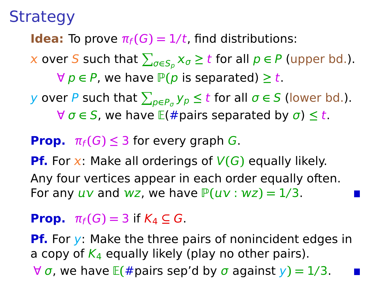**Idea:** To prove  $\pi_f(G) = 1/t$ , find distributions:

 $\boldsymbol{\chi}$  over  $\boldsymbol{S}$  such that  $\sum_{\sigma\in\mathcal{S}_p} \chi_{\sigma} \geq t$  for all  $p\in\mathit{P}$  (upper bd.).

 $\forall p \in P$ , we have  $P(p$  is separated)  $\geq t$ .

 $y$  over  $P$  such that  $\sum_{p\in P_{\sigma}}y_p\leq t$  for all  $\sigma\in S$  (lower bd.).  $\forall \sigma \in S$ , we have  $E(\text{#pairs separated by } \sigma) \leq t$ .

#### **Prop.**  $\pi_f(G) \leq 3$  for every graph G.

**Pf.** For x: Make all orderings of  $V(G)$  equally likely. Any four vertices appear in each order equally often. For any  $uv$  and  $wz$ , we have  $P(uv : wz) = 1/3$ .

#### **Prop.**  $\pi_f(G) = 3$  if  $K_4 \subseteq G$ .

**Pf.** For y: Make the three pairs of nonincident edges in a copy of  $K_4$  equally likely (play no other pairs). ∀ σ, we have E**(**#pairs sep'd by σ against y**) =** 1/3.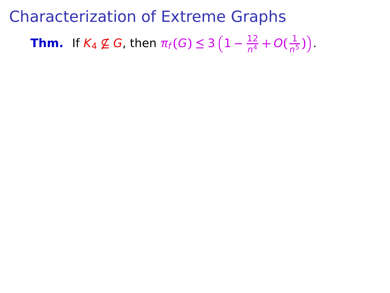Characterization of Extreme Graphs **Thm.** If  $K_4 \not\subseteq G$ , then  $\pi_f(G) \leq 3\left(1 - \frac{12}{n^4}\right)$  $\frac{12}{n^4} + O(\frac{1}{n^5})$  $\frac{1}{n^5}$ )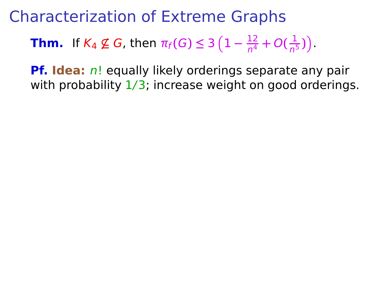**Thm.** If  $K_4 \not\subseteq G$ , then  $\pi_f(G) \leq 3\left(1 - \frac{12}{n^4}\right)$  $\frac{12}{n^4} + O(\frac{1}{n^5})$  $\frac{1}{n^5}$ )

**Pf. Idea:** n! equally likely orderings separate any pair with probability  $1/3$ ; increase weight on good orderings.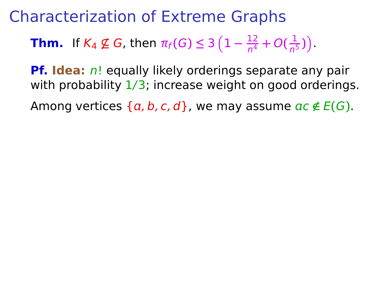**Thm.** If  $K_4 \not\subseteq G$ , then  $\pi_f(G) \leq 3\left(1 - \frac{12}{n^4}\right)$  $\frac{12}{n^4} + O(\frac{1}{n^5})$  $\frac{1}{n^5}$ )

**Pf. Idea:** n! equally likely orderings separate any pair with probability  $1/3$ ; increase weight on good orderings.

Among vertices  $\{a, b, c, d\}$ , we may assume  $ac \notin E(G)$ .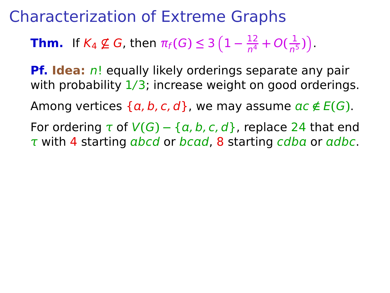**Thm.** If  $K_4 \not\subseteq G$ , then  $\pi_f(G) \leq 3\left(1 - \frac{12}{n^4}\right)$  $\frac{12}{n^4} + O(\frac{1}{n^5})$  $\frac{1}{n^5}$ )

**Pf. Idea:** n! equally likely orderings separate any pair with probability  $1/3$ ; increase weight on good orderings.

Among vertices  $\{a, b, c, d\}$ , we may assume  $ac \notin E(G)$ .

For ordering  $\tau$  of  $V(G) - \{a, b, c, d\}$ , replace 24 that end  $\tau$  with 4 starting abcd or bcad, 8 starting cdba or adbc.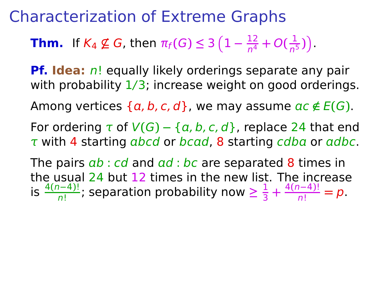**Thm.** If  $K_4 \not\subseteq G$ , then  $\pi_f(G) \leq 3\left(1 - \frac{12}{n^4}\right)$  $\frac{12}{n^4} + O(\frac{1}{n^5})$  $\frac{1}{n^5}$ )

**Pf. Idea:** n! equally likely orderings separate any pair with probability  $1/3$ ; increase weight on good orderings.

Among vertices  $\{a, b, c, d\}$ , we may assume  $ac \notin E(G)$ .

For ordering  $\tau$  of  $V(G) - \{a, b, c, d\}$ , replace 24 that end  $\tau$  with 4 starting abcd or bcad, 8 starting cdba or adbc.

The pairs  $ab : cd$  and  $ad : bc$  are separated 8 times in the usual 24 but 12 times in the new list. The increase is  $\frac{4(n-4)!}{n!}$ ; separation probability now ≥  $\frac{1}{3}$  $\frac{1}{3} + \frac{4(n-4)!}{n!} = p.$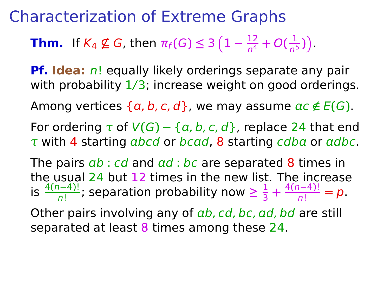**Thm.** If  $K_4 \not\subseteq G$ , then  $\pi_f(G) \leq 3\left(1 - \frac{12}{n^4}\right)$  $\frac{12}{n^4} + O(\frac{1}{n^5})$  $\frac{1}{n^5}$ )

**Pf. Idea:** n! equally likely orderings separate any pair with probability  $1/3$ ; increase weight on good orderings.

Among vertices  $\{a, b, c, d\}$ , we may assume  $ac \notin E(G)$ .

For ordering  $\tau$  of  $V(G) - \{a, b, c, d\}$ , replace 24 that end  $\tau$  with 4 starting abcd or bcad, 8 starting cdba or adbc.

The pairs  $ab : cd$  and  $ad : bc$  are separated 8 times in the usual 24 but 12 times in the new list. The increase is  $\frac{4(n-4)!}{n!}$ ; separation probability now ≥  $\frac{1}{3}$  $\frac{1}{3} + \frac{4(n-4)!}{n!} = p.$ 

Other pairs involving any of  $ab$ , cd, bc, ad, bd are still separated at least 8 times among these 24.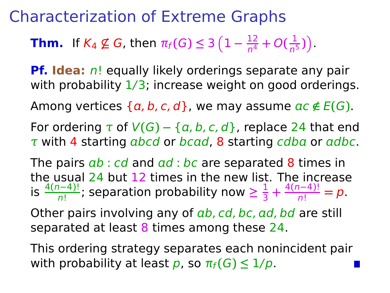**Thm.** If  $K_4 \not\subseteq G$ , then  $\pi_f(G) \leq 3\left(1 - \frac{12}{n^4}\right)$  $\frac{12}{n^4} + O(\frac{1}{n^5})$  $\frac{1}{n^5}$ )

**Pf. Idea:** n! equally likely orderings separate any pair with probability  $1/3$ ; increase weight on good orderings.

Among vertices  $\{a, b, c, d\}$ , we may assume  $ac \notin E(G)$ .

For ordering  $\tau$  of  $V(G) - \{a, b, c, d\}$ , replace 24 that end  $\tau$  with 4 starting abcd or bcad, 8 starting cdba or adbc.

The pairs  $ab : cd$  and  $ad : bc$  are separated 8 times in the usual 24 but 12 times in the new list. The increase is  $\frac{4(n-4)!}{n!}$ ; separation probability now ≥  $\frac{1}{3}$  $\frac{1}{3} + \frac{4(n-4)!}{n!} = p.$ 

Other pairs involving any of  $ab$ , cd, bc, ad, bd are still separated at least 8 times among these 24.

This ordering strategy separates each nonincident pair with probability at least p, so  $\pi_f(G) \leq 1/p$ .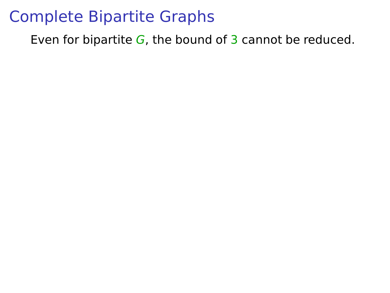Even for bipartite  $G$ , the bound of 3 cannot be reduced.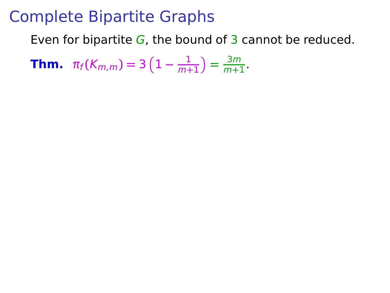Even for bipartite  $G$ , the bound of 3 cannot be reduced.

**Thm.**  $\pi_f(K_{m,m}) = 3(1 - \frac{1}{m+1})$  $\frac{1}{m+1}$ ) =  $\frac{3m}{m+1}$  $\frac{3m}{m+1}$ .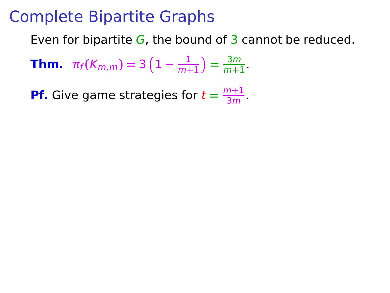Even for bipartite  $G$ , the bound of 3 cannot be reduced.

**Thm.**  $\pi_f(K_{m,m}) = 3(1 - \frac{1}{m+1})$  $\frac{1}{m+1}$ ) =  $\frac{3m}{m+1}$  $\frac{3m}{m+1}$ .

**Pf.** Give game strategies for  $t = \frac{m+1}{3m}$  $\frac{n+1}{3m}$ .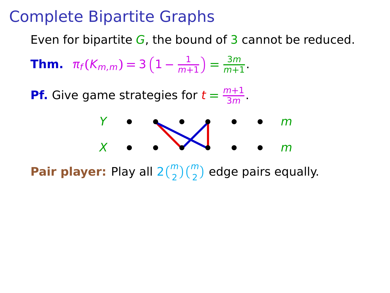Even for bipartite  $G$ , the bound of 3 cannot be reduced.

**Thm.**  $\pi_f(K_{m,m}) = 3(1 - \frac{1}{m+1})$  $\frac{1}{m+1}$ ) =  $\frac{3m}{m+1}$  $\frac{311}{m+1}$ .

**Pf.** Give game strategies for  $t = \frac{m+1}{3m}$  $\frac{n+1}{3m}$ .



**Pair player:** Play all  $2\binom{m}{2}\binom{m}{2}$  edge pairs equally.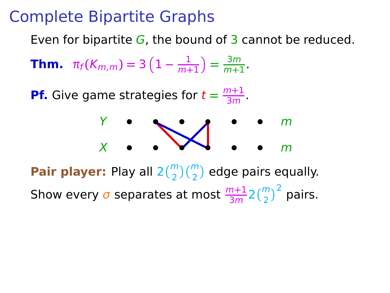Even for bipartite  $G$ , the bound of 3 cannot be reduced.

**Thm.**  $\pi_f(K_{m,m}) = 3(1 - \frac{1}{m+1})$  $\frac{1}{m+1}$ ) =  $\frac{3m}{m+1}$  $\frac{311}{m+1}$ .

**Pf.** Give game strategies for  $t = \frac{m+1}{3m}$  $\frac{n+1}{3m}$ .



**Pair player:** Play all  $2\binom{m}{2}\binom{m}{2}$  edge pairs equally. Show every  $\sigma$  separates at most  $\frac{m+1}{3m}2\binom{m}{2}^2$  pairs.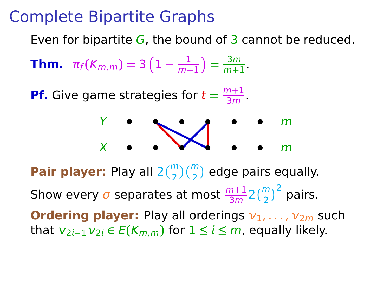Even for bipartite  $G$ , the bound of 3 cannot be reduced.

**Thm.**  $\pi_f(K_{m,m}) = 3(1 - \frac{1}{m+1})$  $\frac{1}{m+1}$ ) =  $\frac{3m}{m+1}$  $\frac{311}{m+1}$ .

**Pf.** Give game strategies for  $t = \frac{m+1}{3m}$  $\frac{n+1}{3m}$ .



**Pair player:** Play all  $2\binom{m}{2}\binom{m}{2}$  edge pairs equally. Show every  $\sigma$  separates at most  $\frac{m+1}{3m}2\binom{m}{2}^2$  pairs. **Ordering player:** Play all orderings  $v_1, \ldots, v_{2m}$  such that  $v_{2i-1}v_{2i}$  ∈  $E(K_{m,m})$  for  $1 ≤ i ≤ m$ , equally likely.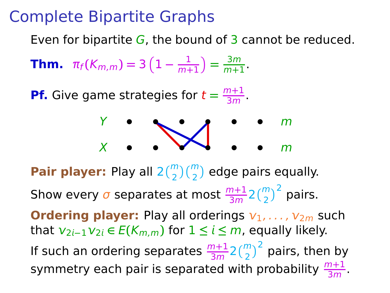Even for bipartite  $G$ , the bound of 3 cannot be reduced.

**Thm.**  $\pi_f(K_{m,m}) = 3(1 - \frac{1}{m+1})$  $\frac{1}{m+1}$ ) =  $\frac{3m}{m+1}$  $\frac{311}{m+1}$ .

**Pf.** Give game strategies for  $t = \frac{m+1}{3m}$  $\frac{n+1}{3m}$ .



**Pair player:** Play all  $2\binom{m}{2}\binom{m}{2}$  edge pairs equally. Show every  $\sigma$  separates at most  $\frac{m+1}{3m}2\binom{m}{2}^2$  pairs. **Ordering player:** Play all orderings  $v_1, \ldots, v_{2m}$  such that  $v_{2i-1}v_{2i}$  ∈  $E(K_{m,m})$  for  $1 ≤ i ≤ m$ , equally likely. If such an ordering separates  $\frac{m+1}{3m}$ 2 $\binom{m}{2}^2$  pairs, then by symmetry each pair is separated with probability  $\frac{m+1}{3m}$ .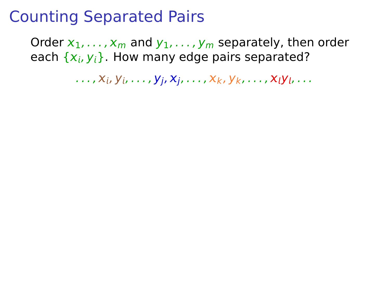Order  $x_1, \ldots, x_m$  and  $y_1, \ldots, y_m$  separately, then order each  $\{x_i, y_i\}$ . How many edge pairs separated?

 $\ldots$ ,  $X_i$ ,  $Y_i$ ,  $\ldots$ ,  $Y_i$ ,  $X_i$ ,  $\ldots$ ,  $X_k$ ,  $Y_k$ ,  $\ldots$ ,  $X_iY_i$ ,  $\ldots$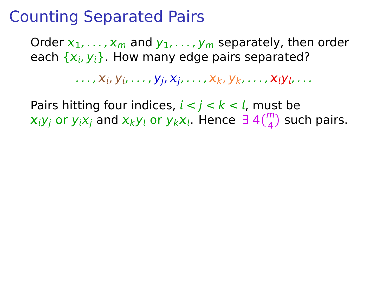Order  $x_1, \ldots, x_m$  and  $y_1, \ldots, y_m$  separately, then order each  $\{x_i, y_i\}$ . How many edge pairs separated?

 $\ldots$  ,  $X_i$ ,  $Y_i$ ,  $\ldots$  ,  $Y_i$ ,  $X_i$ ,  $\ldots$  ,  $X_k$ ,  $Y_k$ ,  $\ldots$  ,  $X_iY_i$ ,  $\ldots$ 

Pairs hitting four indices,  $i < j < k < l$ , must be  $x_iy_j$  or  $y_ix_j$  and  $x_ky_l$  or  $y_kx_l$ . Hence  $\exists 4\binom{m}{4}$  such pairs.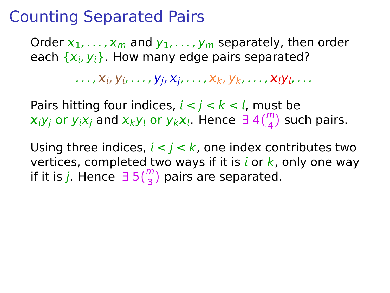Order  $x_1, \ldots, x_m$  and  $y_1, \ldots, y_m$  separately, then order each  $\{x_i, y_i\}$ . How many edge pairs separated?

 $\ldots$  ,  $X_i$ ,  $Y_i$ ,  $\ldots$  ,  $Y_i$ ,  $X_i$ ,  $\ldots$  ,  $X_k$ ,  $Y_k$ ,  $\ldots$  ,  $X_iY_i$ ,  $\ldots$ 

Pairs hitting four indices,  $i < j < k < l$ , must be  $x_iy_j$  or  $y_ix_j$  and  $x_ky_l$  or  $y_kx_l$ . Hence  $\exists 4\binom{m}{4}$  such pairs.

Using three indices,  $i < j < k$ , one index contributes two vertices, completed two ways if it is  $i$  or  $k$ , only one way if it is j. Hence  $\exists 5\binom{m}{3}$  pairs are separated.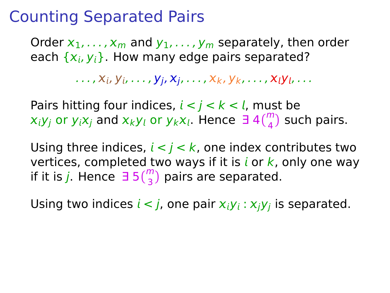Order  $x_1, \ldots, x_m$  and  $y_1, \ldots, y_m$  separately, then order each  $\{x_i, y_i\}$ . How many edge pairs separated?

 $\ldots$  ,  $X_i$ ,  $Y_i$ ,  $\ldots$  ,  $Y_i$ ,  $X_i$ ,  $\ldots$  ,  $X_k$ ,  $Y_k$ ,  $\ldots$  ,  $X_iY_i$ ,  $\ldots$ 

Pairs hitting four indices,  $i < j < k < l$ , must be  $x_iy_j$  or  $y_ix_j$  and  $x_ky_l$  or  $y_kx_l$ . Hence  $\exists 4\binom{m}{4}$  such pairs.

Using three indices,  $i < j < k$ , one index contributes two vertices, completed two ways if it is  $i$  or  $k$ , only one way if it is j. Hence  $\exists 5\binom{m}{3}$  pairs are separated.

Using two indices  $i < j$ , one pair  $x_iy_i : x_jy_j$  is separated.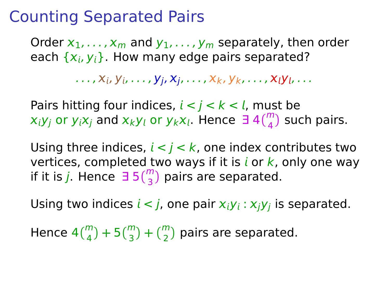Order  $x_1, \ldots, x_m$  and  $y_1, \ldots, y_m$  separately, then order each  $\{x_i, y_i\}$ . How many edge pairs separated?

 $\ldots$  ,  $X_i$ ,  $Y_i$ ,  $\ldots$  ,  $Y_i$ ,  $X_i$ ,  $\ldots$  ,  $X_k$ ,  $Y_k$ ,  $\ldots$  ,  $X_iY_i$ ,  $\ldots$ 

Pairs hitting four indices,  $i < j < k < l$ , must be  $x_iy_j$  or  $y_ix_j$  and  $x_ky_l$  or  $y_kx_l$ . Hence  $\exists 4\binom{m}{4}$  such pairs.

Using three indices,  $i < j < k$ , one index contributes two vertices, completed two ways if it is  $i$  or  $k$ , only one way if it is j. Hence  $\exists 5\binom{m}{3}$  pairs are separated.

Using two indices  $i < j$ , one pair  $x_iy_i : x_jy_j$  is separated.

Hence  $4\binom{m}{4} + 5\binom{m}{3} + \binom{m}{2}$  pairs are separated.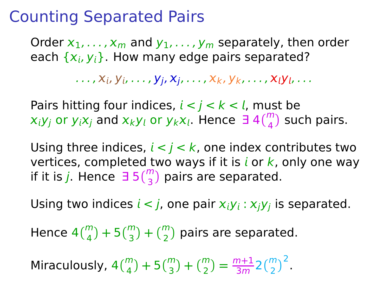Order  $x_1, \ldots, x_m$  and  $y_1, \ldots, y_m$  separately, then order each  $\{x_i, y_i\}$ . How many edge pairs separated?

 $\ldots$  ,  $X_i$ ,  $Y_i$ ,  $\ldots$  ,  $Y_i$ ,  $X_i$ ,  $\ldots$  ,  $X_k$ ,  $Y_k$ ,  $\ldots$  ,  $X_iY_i$ ,  $\ldots$ 

Pairs hitting four indices,  $i < j < k < l$ , must be  $x_iy_j$  or  $y_ix_j$  and  $x_ky_l$  or  $y_kx_l$ . Hence  $\exists 4\binom{m}{4}$  such pairs.

Using three indices,  $i < j < k$ , one index contributes two vertices, completed two ways if it is *i* or  $k$ , only one way if it is j. Hence  $\exists 5\binom{m}{3}$  pairs are separated.

Using two indices  $i < j$ , one pair  $x_iy_i : x_jy_j$  is separated.

Hence  $4\binom{m}{4} + 5\binom{m}{3} + \binom{m}{2}$  pairs are separated.

Miraculously,  $4\binom{m}{4} + 5\binom{m}{3} + \binom{m}{2} = \frac{m+1}{3m}$  $\frac{m+1}{3m} 2{m \choose 2}^2$ .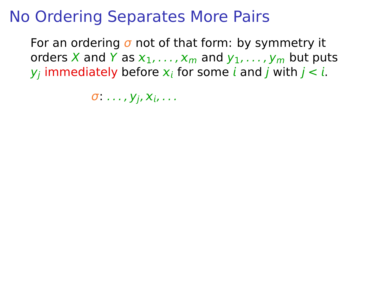# No Ordering Separates More Pairs

For an ordering  $\sigma$  not of that form: by symmetry it orders X and Y as  $x_1, \ldots, x_m$  and  $y_1, \ldots, y_m$  but puts  $y_j$  immediately before  $\boldsymbol{\mathsf{x}}_i$  for some  $i$  and  $j$  with  $j < i$ .

 $\sigma \dots$ ,  $y_i, x_i, \dots$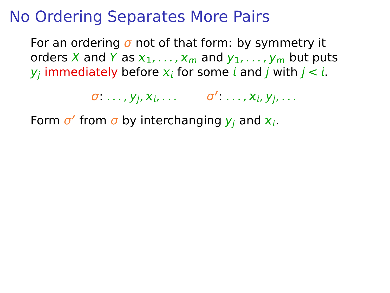#### No Ordering Separates More Pairs

For an ordering  $\sigma$  not of that form: by symmetry it orders X and Y as  $x_1, \ldots, x_m$  and  $y_1, \ldots, y_m$  but puts  $y_j$  immediately before  $\boldsymbol{\mathsf{x}}_i$  for some  $i$  and  $j$  with  $j < i$ .

**σ** ..., y<sub>j</sub>, x<sub>i</sub>, ... σ' ..., x<sub>i</sub>, y<sub>j</sub>, ...

Form  $\sigma'$  from  $\sigma$  by interchanging  $y_j$  and  $x_i$ .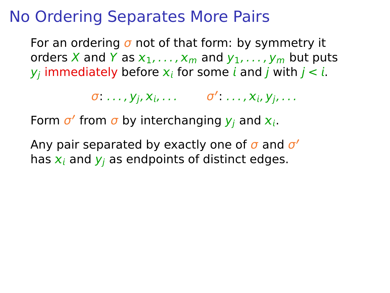#### No Ordering Separates More Pairs

For an ordering  $\sigma$  not of that form: by symmetry it orders X and Y as  $x_1, \ldots, x_m$  and  $y_1, \ldots, y_m$  but puts  $y_j$  immediately before  $\boldsymbol{\mathsf{x}}_i$  for some  $i$  and  $j$  with  $j < i$ .

**σ** ..., y<sub>j</sub>, x<sub>i</sub>, ... σ' ..., x<sub>i</sub>, y<sub>j</sub>, ...

Form  $\sigma'$  from  $\sigma$  by interchanging  $y_j$  and  $x_i$ .

Any pair separated by exactly one of σ and σ **′** has  $x_i$  and  $y_i$  as endpoints of distinct edges.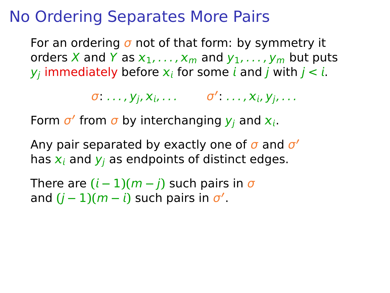### No Ordering Separates More Pairs

For an ordering  $\sigma$  not of that form: by symmetry it orders X and Y as  $x_1, \ldots, x_m$  and  $y_1, \ldots, y_m$  but puts  $y_j$  immediately before  $\boldsymbol{\mathsf{x}}_i$  for some  $i$  and  $j$  with  $j < i$ .

**σ** ..., y<sub>j</sub>, x<sub>i</sub>, ... σ' ..., x<sub>i</sub>, y<sub>j</sub>, ...

Form  $\sigma'$  from  $\sigma$  by interchanging  $y_j$  and  $x_i$ .

Any pair separated by exactly one of σ and σ **′** has  $x_i$  and  $y_i$  as endpoints of distinct edges.

There are  $(i - 1)(m - j)$  such pairs in  $\sigma$ and  $(j-1)(m-i)$  such pairs in  $\sigma'$ .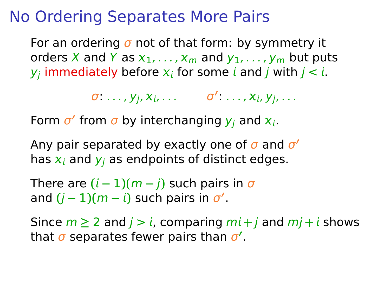### No Ordering Separates More Pairs

For an ordering  $\sigma$  not of that form: by symmetry it orders X and Y as  $x_1, \ldots, x_m$  and  $y_1, \ldots, y_m$  but puts  $y_j$  immediately before  $\boldsymbol{\mathsf{x}}_i$  for some  $i$  and  $j$  with  $j < i$ .

**σ** ..., y<sub>j</sub>, x<sub>i</sub>, ... σ' ..., x<sub>i</sub>, y<sub>j</sub>, ...

Form  $\sigma'$  from  $\sigma$  by interchanging  $y_j$  and  $x_i$ .

Any pair separated by exactly one of σ and σ **′** has  $x_i$  and  $y_i$  as endpoints of distinct edges.

There are  $(i - 1)(m - j)$  such pairs in  $\sigma$ and  $(j-1)(m-i)$  such pairs in  $\sigma'$ .

Since  $m \ge 2$  and  $j > i$ , comparing  $mi + j$  and  $mi + i$  shows that σ separates fewer pairs than σ **′** .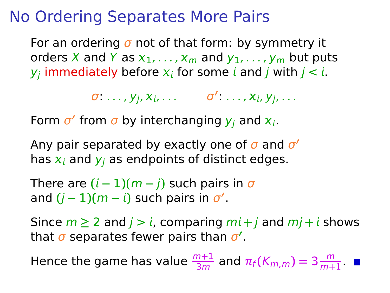### No Ordering Separates More Pairs

For an ordering  $\sigma$  not of that form: by symmetry it orders X and Y as  $x_1, \ldots, x_m$  and  $y_1, \ldots, y_m$  but puts  $y_j$  immediately before  $\boldsymbol{\mathsf{x}}_i$  for some  $i$  and  $j$  with  $j < i$ .

**σ** ..., y<sub>j</sub>, x<sub>i</sub>, ... σ' ..., x<sub>i</sub>, y<sub>j</sub>, ...

Form  $\sigma'$  from  $\sigma$  by interchanging  $y_j$  and  $x_i$ .

Any pair separated by exactly one of σ and σ **′** has  $x_i$  and  $y_i$  as endpoints of distinct edges.

There are  $(i - 1)(m - j)$  such pairs in  $\sigma$ and  $(j-1)(m-i)$  such pairs in  $\sigma'$ .

Since  $m \ge 2$  and  $j > i$ , comparing  $mi + j$  and  $mj + i$  shows that σ separates fewer pairs than σ **′** .

Hence the game has value  $\frac{m+1}{3m}$  and  $\pi_f(K_{m,m}) = 3 \frac{m}{m+1}$  $\frac{m}{m+1}$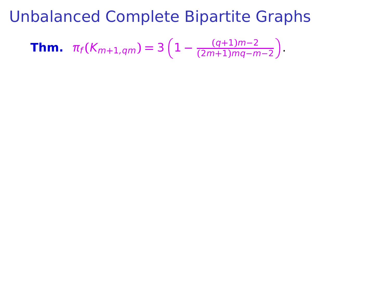**Thm.** 
$$
\pi_f(K_{m+1,qm}) = 3\left(1 - \frac{(q+1)m-2}{(2m+1)mq-m-2}\right)
$$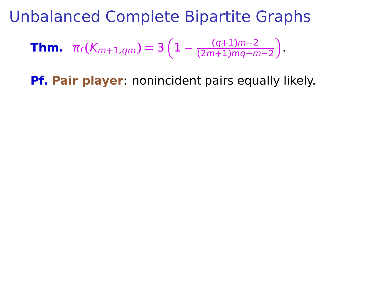**Thm.** 
$$
\pi_f(K_{m+1,qm}) = 3\left(1 - \frac{(q+1)m-2}{(2m+1)mq-m-2}\right)
$$

**Pf. Pair player**: nonincident pairs equally likely.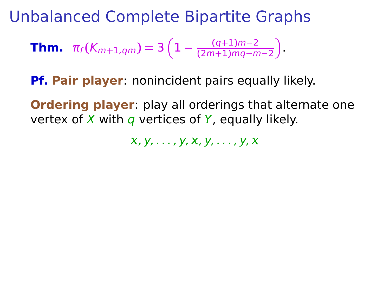**Thm.** 
$$
\pi_f(K_{m+1,qm}) = 3\left(1 - \frac{(q+1)m-2}{(2m+1)mq-m-2}\right)
$$

**Pf. Pair player**: nonincident pairs equally likely.

**Ordering player**: play all orderings that alternate one vertex of X with q vertices of Y, equally likely.

 $X, Y, \ldots, Y, X, Y, \ldots, Y, X$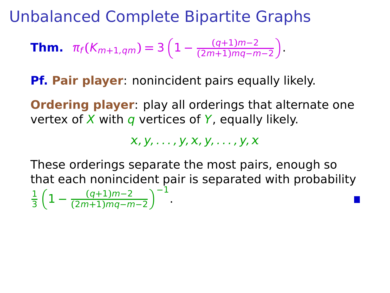**Thm.** 
$$
\pi_f(K_{m+1,qm}) = 3\left(1 - \frac{(q+1)m-2}{(2m+1)mq-m-2}\right)
$$

**Pf. Pair player**: nonincident pairs equally likely.

**Ordering player**: play all orderings that alternate one vertex of X with  $q$  vertices of Y, equally likely.

 $X, Y, \ldots, Y, X, Y, \ldots, Y, X$ 

These orderings separate the most pairs, enough so that each nonincident pair is separated with probability

$$
\frac{1}{3}\left(1-\frac{(q+1)m-2}{(2m+1)mq-m-2}\right)^{-1}.
$$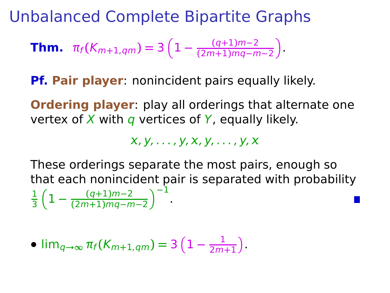**Thm.** 
$$
\pi_f(K_{m+1,qm}) = 3\left(1 - \frac{(q+1)m-2}{(2m+1)mq-m-2}\right)
$$

**Pf. Pair player**: nonincident pairs equally likely.

**Ordering player**: play all orderings that alternate one vertex of X with  $q$  vertices of Y, equally likely.

 $X, Y, \ldots, Y, X, Y, \ldots, Y, X$ 

These orderings separate the most pairs, enough so that each nonincident pair is separated with probability

$$
\frac{1}{3}\left(1-\frac{(q+1)m-2}{(2m+1)mq-m-2}\right)^{-1}.
$$

$$
\bullet \lim_{q\to\infty} \pi_f(K_{m+1,qm}) = 3\left(1-\frac{1}{2m+1}\right).
$$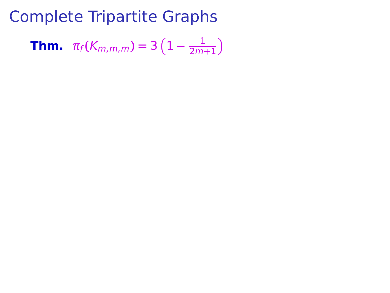**Thm.**  $\pi_f(K_{m,m,m}) = 3(1 - \frac{1}{2m})$  $\frac{1}{2m+1}$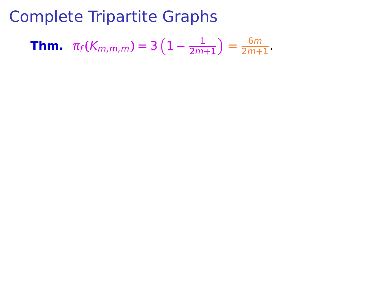**Thm.** 
$$
\pi_f(K_{m,m,m}) = 3\left(1 - \frac{1}{2m+1}\right) = \frac{6m}{2m+1}.
$$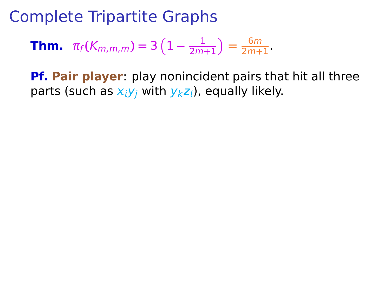**Thm.** 
$$
\pi_f(K_{m,m,m}) = 3\left(1 - \frac{1}{2m+1}\right) = \frac{6m}{2m+1}.
$$

**Pf. Pair player**: play nonincident pairs that hit all three parts (such as  $x_iy_i$  with  $y_kz_i$ ), equally likely.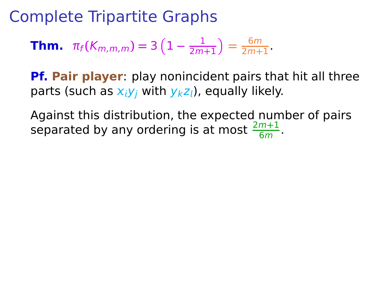**Thm.** 
$$
\pi_f(K_{m,m,m}) = 3\left(1 - \frac{1}{2m+1}\right) = \frac{6m}{2m+1}
$$
.

**Pf. Pair player**: play nonincident pairs that hit all three parts (such as  $x_i y_i$  with  $y_k z_i$ ), equally likely.

Against this distribution, the expected number of pairs separated by any ordering is at most  $\frac{2m+1}{6m}$ .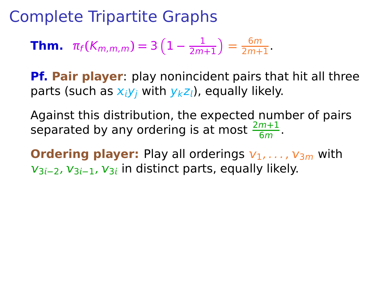**Thm.** 
$$
\pi_f(K_{m,m,m}) = 3\left(1 - \frac{1}{2m+1}\right) = \frac{6m}{2m+1}
$$
.

**Pf. Pair player**: play nonincident pairs that hit all three parts (such as  $x_i y_i$  with  $y_k z_i$ ), equally likely.

Against this distribution, the expected number of pairs separated by any ordering is at most  $\frac{2m+1}{6m}$ .

**Ordering player:** Play all orderings  $v_1, \ldots, v_{3m}$  with  $v_{3i-2}$ ,  $v_{3i-1}$ ,  $v_{3i}$  in distinct parts, equally likely.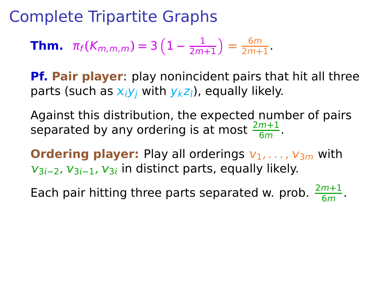**Thm.** 
$$
\pi_f(K_{m,m,m}) = 3\left(1 - \frac{1}{2m+1}\right) = \frac{6m}{2m+1}
$$
.

**Pf. Pair player**: play nonincident pairs that hit all three parts (such as  $x_iy_i$  with  $y_kz_i$ ), equally likely.

Against this distribution, the expected number of pairs separated by any ordering is at most  $\frac{2m+1}{6m}$ .

**Ordering player:** Play all orderings  $v_1, \ldots, v_{3m}$  with  $v_{3i-2}$ ,  $v_{3i-1}$ ,  $v_{3i}$  in distinct parts, equally likely.

Each pair hitting three parts separated w. prob.  $\frac{2m+1}{6m}$ .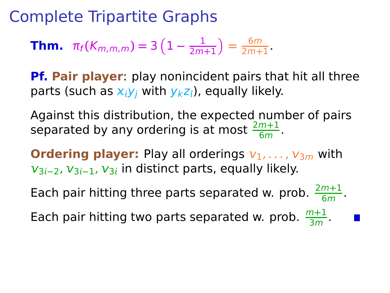**Thm.** 
$$
\pi_f(K_{m,m,m}) = 3\left(1 - \frac{1}{2m+1}\right) = \frac{6m}{2m+1}
$$
.

**Pf. Pair player**: play nonincident pairs that hit all three parts (such as  $x_iy_i$  with  $y_kz_i$ ), equally likely.

Against this distribution, the expected number of pairs separated by any ordering is at most  $\frac{2m+1}{6m}$ .

**Ordering player:** Play all orderings  $v_1, \ldots, v_{3m}$  with  $v_{3i-2}$ ,  $v_{3i-1}$ ,  $v_{3i}$  in distinct parts, equally likely.

Each pair hitting three parts separated w. prob.  $\frac{2m+1}{6m}$ . Each pair hitting two parts separated w. prob.  $\frac{m+1}{3m}$ .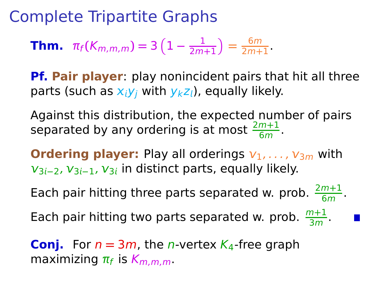**Thm.** 
$$
\pi_f(K_{m,m,m}) = 3\left(1 - \frac{1}{2m+1}\right) = \frac{6m}{2m+1}
$$
.

**Pf. Pair player**: play nonincident pairs that hit all three parts (such as  $x_iy_i$  with  $y_kz_i$ ), equally likely.

Against this distribution, the expected number of pairs separated by any ordering is at most  $\frac{2m+1}{6m}$ .

**Ordering player:** Play all orderings  $v_1, \ldots, v_{3m}$  with  $v_{3i-2}$ ,  $v_{3i-1}$ ,  $v_{3i}$  in distinct parts, equally likely.

Each pair hitting three parts separated w. prob.  $\frac{2m+1}{6m}$ .

Each pair hitting two parts separated w. prob.  $\frac{m+1}{3m}$ .

**Conj.** For  $n = 3m$ , the *n*-vertex  $K_4$ -free graph maximizing  $π_f$  is  $K_{m,m,m}$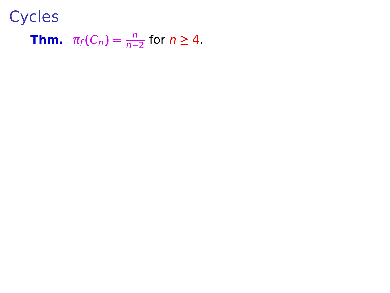**Thm.** 
$$
\pi_f(C_n) = \frac{n}{n-2}
$$
 for  $n \geq 4$ .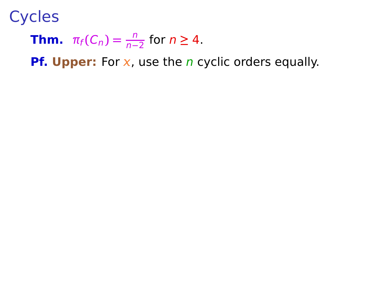**Thm.** 
$$
\pi_f(C_n) = \frac{n}{n-2}
$$
 for  $n \geq 4$ .

**Pf. Upper:** For x, use the *n* cyclic orders equally.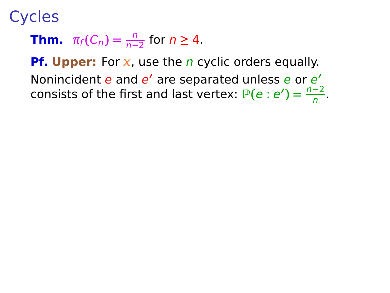**Thm.** 
$$
\pi_f(C_n) = \frac{n}{n-2}
$$
 for  $n \geq 4$ .

**Pf. Upper:** For x, use the *n* cyclic orders equally. Nonincident e and e' are separated unless e or e' consists of the first and last vertex:  $P(e : e') = \frac{n-2}{n}$ .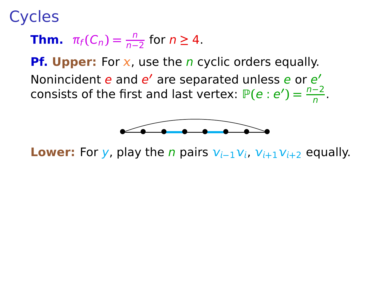**Thm.** 
$$
\pi_f(C_n) = \frac{n}{n-2}
$$
 for  $n \geq 4$ .

**Pf. Upper:** For x, use the *n* cyclic orders equally. Nonincident e and e' are separated unless e or e' consists of the first and last vertex:  $P(e : e') = \frac{n-2}{n}$ .



**Lower:** For y, play the *n* pairs  $V_{i-1}V_i$ ,  $V_{i+1}V_{i+2}$  equally.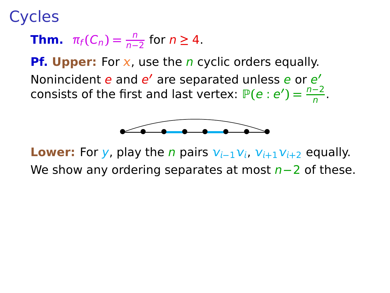**Thm.** 
$$
\pi_f(C_n) = \frac{n}{n-2}
$$
 for  $n \geq 4$ .

**Pf. Upper:** For x, use the *n* cyclic orders equally. Nonincident e and e' are separated unless e or e' consists of the first and last vertex:  $P(e : e') = \frac{n-2}{n}$ .



**Lower:** For y, play the *n* pairs  $v_{i-1}v_i$ ,  $v_{i+1}v_{i+2}$  equally. We show any ordering separates at most n**−**2 of these.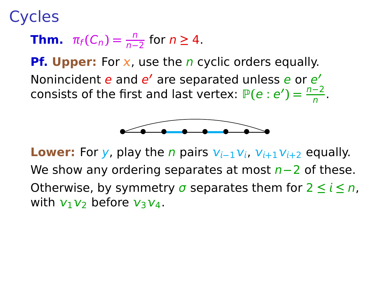**Thm.** 
$$
\pi_f(C_n) = \frac{n}{n-2}
$$
 for  $n \geq 4$ .

**Pf. Upper:** For x, use the *n* cyclic orders equally. Nonincident e and e' are separated unless e or e' consists of the first and last vertex:  $P(e : e') = \frac{n-2}{n}$ .



**Lower:** For y, play the *n* pairs  $V_{i-1}V_i$ ,  $V_{i+1}V_{i+2}$  equally. We show any ordering separates at most n**−**2 of these. Otherwise, by symmetry  $\sigma$  separates them for  $2 \leq i \leq n$ , with  $v_1v_2$  before  $v_3v_4$ .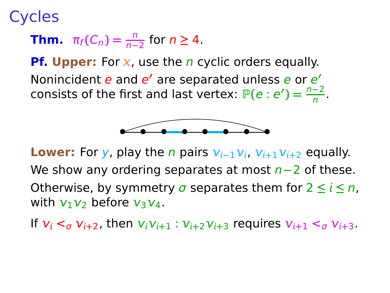**Thm.** 
$$
\pi_f(C_n) = \frac{n}{n-2}
$$
 for  $n \geq 4$ .

**Pf. Upper:** For x, use the *n* cyclic orders equally. Nonincident e and e' are separated unless e or e' consists of the first and last vertex:  $P(e : e') = \frac{n-2}{n}$ .



**Lower:** For y, play the *n* pairs  $V_{i-1}V_i$ ,  $V_{i+1}V_{i+2}$  equally. We show any ordering separates at most n**−**2 of these. Otherwise, by symmetry  $\sigma$  separates them for  $2 \leq i \leq n$ , with  $v_1v_2$  before  $v_3v_4$ .

If  $v_i <_{\sigma} v_{i+2}$ , then  $v_i v_{i+1} : v_{i+2} v_{i+3}$  requires  $v_{i+1} <_{\sigma} v_{i+3}$ .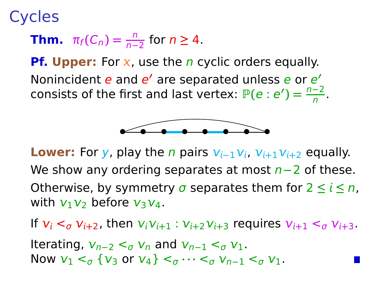**Thm.** 
$$
\pi_f(C_n) = \frac{n}{n-2}
$$
 for  $n \geq 4$ .

**Pf. Upper:** For x, use the *n* cyclic orders equally. Nonincident e and e' are separated unless e or e' consists of the first and last vertex:  $P(e : e') = \frac{n-2}{n}$ .



**Lower:** For y, play the *n* pairs  $V_{i-1}V_i$ ,  $V_{i+1}V_{i+2}$  equally. We show any ordering separates at most n**−**2 of these. Otherwise, by symmetry  $\sigma$  separates them for  $2 \le i \le n$ , with  $v_1v_2$  before  $v_3v_4$ .

If  $v_i <_{\sigma} v_{i+2}$ , then  $v_i v_{i+1} : v_{i+2} v_{i+3}$  requires  $v_{i+1} <_{\sigma} v_{i+3}$ .

Iterating,  $v_{n-2} < \sigma v_n$  and  $v_{n-1} < \sigma v_1$ . Now  $v_1 <_{\sigma} \{v_3 \text{ or } v_4\} <_{\sigma} \cdots <_{\sigma} v_{n-1} <_{\sigma} v_1$ .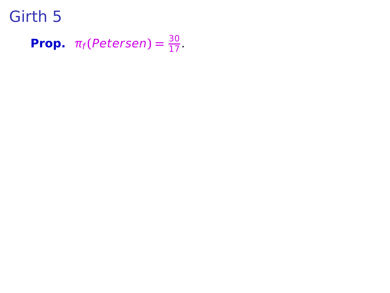**Prop.**  $\pi_f(Petersen) = \frac{30}{17}$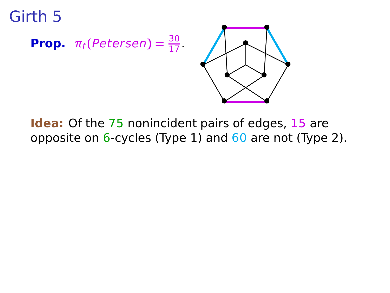



**Idea:** Of the 75 nonincident pairs of edges, 15 are opposite on  $6$ -cycles (Type 1) and  $60$  are not (Type 2).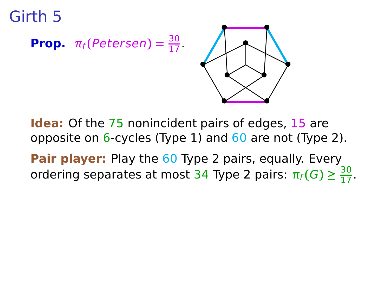## **Prop.**  $\pi_f$ (Petersen) =  $\frac{30}{17}$  .  $\pi$



**Idea:** Of the 75 nonincident pairs of edges, 15 are opposite on  $6$ -cycles (Type 1) and  $60$  are not (Type 2).

**Pair player:** Play the 60 Type 2 pairs, equally. Every ordering separates at most 34 Type 2 pairs:  $\pi_f(G) \geq \frac{30}{17}$ .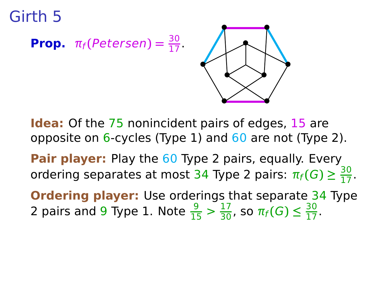## **Prop.**  $\pi_f$ (Petersen) =  $\frac{30}{17}$  .  $\pi$



**Idea:** Of the 75 nonincident pairs of edges, 15 are opposite on  $6$ -cycles (Type 1) and  $60$  are not (Type 2).

**Pair player:** Play the 60 Type 2 pairs, equally. Every ordering separates at most 34 Type 2 pairs:  $\pi_f(G) \geq \frac{30}{17}$ .

**Ordering player:** Use orderings that separate 34 Type 2 pairs and 9 Type 1. Note  $\frac{9}{15} > \frac{17}{30}$ , so  $\pi_f(G) \leq \frac{30}{17}$ .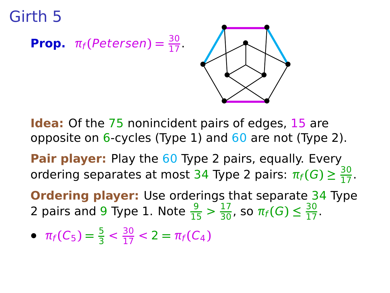# **Prop.**  $\pi_f$ (Petersen) =  $\frac{30}{17}$  .  $\pi$



**Idea:** Of the 75 nonincident pairs of edges, 15 are opposite on  $6$ -cycles (Type 1) and  $60$  are not (Type 2).

**Pair player:** Play the 60 Type 2 pairs, equally. Every ordering separates at most 34 Type 2 pairs:  $\pi_f(G) \geq \frac{30}{17}$ .

**Ordering player:** Use orderings that separate 34 Type 2 pairs and 9 Type 1. Note  $\frac{9}{15} > \frac{17}{30}$ , so  $\pi_f(G) \leq \frac{30}{17}$ .

•  $\pi_f(C_5) = \frac{5}{3} < \frac{30}{17} < 2 = \pi_f(C_4)$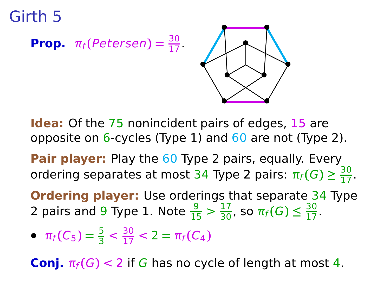**Prop.** 
$$
\pi_f(Petersen) = \frac{30}{17}
$$



**Idea:** Of the 75 nonincident pairs of edges, 15 are opposite on  $6$ -cycles (Type 1) and  $60$  are not (Type 2).

**Pair player:** Play the 60 Type 2 pairs, equally. Every ordering separates at most 34 Type 2 pairs:  $\pi_f(G) \geq \frac{30}{17}$ .

**Ordering player:** Use orderings that separate 34 Type 2 pairs and 9 Type 1. Note  $\frac{9}{15} > \frac{17}{30}$ , so  $\pi_f(G) \leq \frac{30}{17}$ .

•  $\pi_f(C_5) = \frac{5}{3} < \frac{30}{17} < 2 = \pi_f(C_4)$ 

**Conj.**  $\pi_f(G) < 2$  if G has no cycle of length at most 4.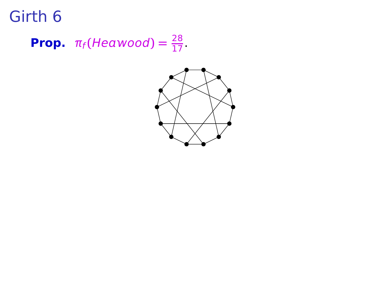**Prop.**  $\pi_f$ (Heawood) =  $\frac{28}{17}$ .

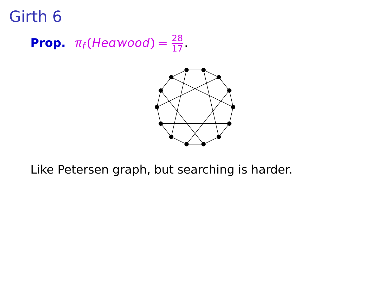**Prop.**  $\pi_f$ (Heawood) =  $\frac{28}{17}$ .



Like Petersen graph, but searching is harder.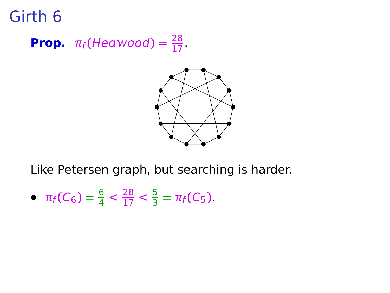**Prop.**  $\pi_f$ (Heawood) =  $\frac{28}{17}$ .



Like Petersen graph, but searching is harder.

•  $\pi_f(C_6) = \frac{6}{4} < \frac{28}{17} < \frac{5}{3}$  $\frac{3}{3} = \pi_f(C_5)$ .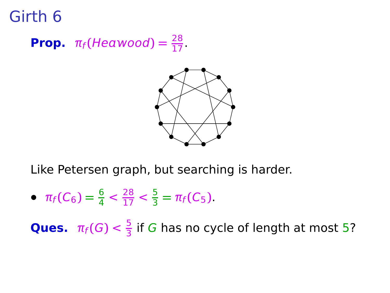**Prop.**  $\pi_f$ (Heawood) =  $\frac{28}{17}$ .



Like Petersen graph, but searching is harder.

•  $\pi_f(C_6) = \frac{6}{4} < \frac{28}{17} < \frac{5}{3}$  $\frac{3}{3} = \pi_f(C_5)$ .

**Ques.**  $\pi_f(G) < \frac{5}{3}$  $\frac{3}{3}$  if G has no cycle of length at most 5?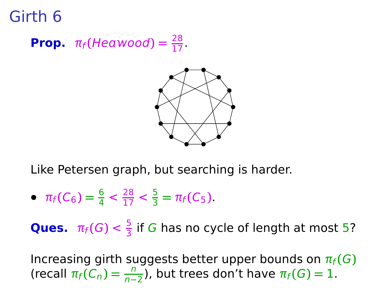**Prop.**  $\pi_f$ (Heawood) =  $\frac{28}{17}$ .



Like Petersen graph, but searching is harder.

•  $\pi_f(C_6) = \frac{6}{4} < \frac{28}{17} < \frac{5}{3}$  $\frac{3}{3} = \pi_f(C_5)$ .

**Ques.**  $\pi_f(G) < \frac{5}{3}$  $\frac{3}{3}$  if G has no cycle of length at most 5?

Increasing girth suggests better upper bounds on  $\pi_f(G)$  $(\text{recall } \pi_f(\overline{C_n}) = \frac{n}{n-2})$ , but trees don't have  $\pi_f(G) = 1$ .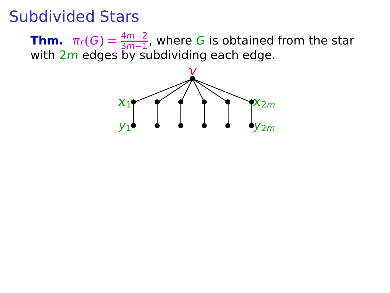#### Subdivided Stars

**Thm.**  $\pi_f(G) = \frac{4m-2}{3m-1}$ , where G is obtained from the star 3m**−**1 with 2m edges by subdividing each edge.

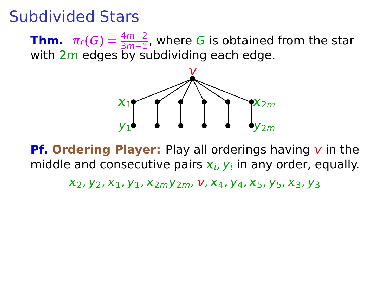**Thm.**  $\pi_f(G) = \frac{4m-2}{3m-1}$ , where G is obtained from the star 3m**−**1 with 2m edges by subdividing each edge.



**Pf. Ordering Player:** Play all orderings having  $\bf{v}$  in the middle and consecutive pairs  $x_i$ ,  $y_i$  in any order, equally.

 $x_2, y_2, x_1, y_1, x_{2m}y_{2m}, V, x_4, y_4, x_5, y_5, x_3, y_3$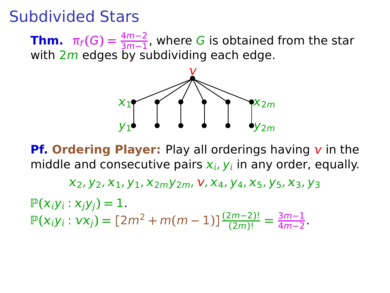**Thm.**  $\pi_f(G) = \frac{4m-2}{3m-1}$ , where G is obtained from the star 3m**−**1 with 2m edges by subdividing each edge.



**Pf. Ordering Player:** Play all orderings having  $v$  in the middle and consecutive pairs  $x_i$ ,  $y_i$  in any order, equally.

 $x_2, y_2, x_1, y_1, x_{2m}y_{2m}, V, x_4, y_4, x_5, y_5, x_3, y_3$ 

 $P(x_iy_i: x_jy_j) = 1.$  $\mathbb{P}(x_i y_i : v x_j) = [2m^2 + m(m-1)] \frac{(2m-2)!}{(2m)!} = \frac{3m-1}{4m-2}$ <del>3m−1</del><br>4m−2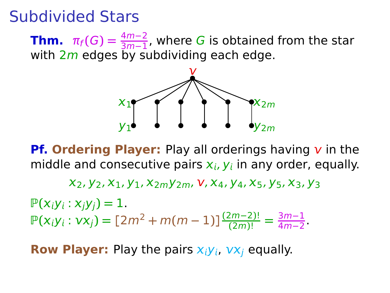**Thm.**  $\pi_f(G) = \frac{4m-2}{3m-1}$ , where G is obtained from the star 3m**−**1 with 2m edges by subdividing each edge.



**Pf. Ordering Player:** Play all orderings having  $v$  in the middle and consecutive pairs  $x_i$ ,  $y_i$  in any order, equally.

 $x_2, y_2, x_1, y_1, x_{2m}y_{2m}, V, x_4, y_4, x_5, y_5, x_3, y_3$ 

 $P(x_iy_i: x_jy_j) = 1.$  $\mathbb{P}(x_i y_i : v x_j) = [2m^2 + m(m-1)] \frac{(2m-2)!}{(2m)!} = \frac{3m-1}{4m-2}$ <del>3m−1</del><br>4m−2

**Row Player:** Play the pairs  $x_iy_i$ ,  $vx_i$  equally.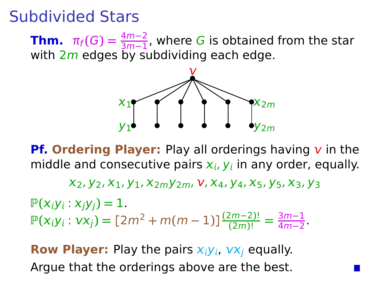**Thm.**  $\pi_f(G) = \frac{4m-2}{3m-1}$ , where G is obtained from the star 3m**−**1 with 2m edges by subdividing each edge.



**Pf. Ordering Player:** Play all orderings having  $v$  in the middle and consecutive pairs  $x_i$ ,  $y_i$  in any order, equally.

 $X_2, Y_2, X_1, Y_1, X_{2m}Y_{2m}, V, X_4, Y_4, X_5, Y_5, X_3, Y_3$ 

 $P(x_iy_i : x_iy_j) = 1.$  $\mathbb{P}(x_i y_i : v x_j) = [2m^2 + m(m-1)] \frac{(2m-2)!}{(2m)!} = \frac{3m-1}{4m-2}$ <del>3m−1</del><br>4m−2

**Row Player:** Play the pairs  $x_iy_i$ ,  $vx_i$  equally. Argue that the orderings above are the best.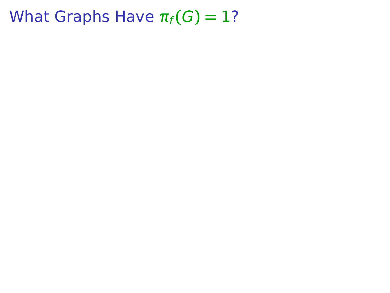- 
- -
- 
- -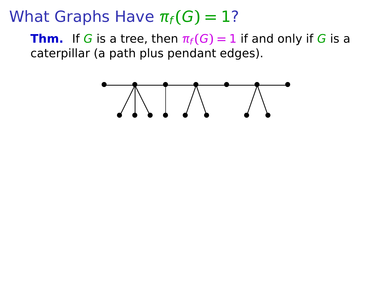**Thm.** If G is a tree, then  $\pi_f(G) = 1$  if and only if G is a caterpillar (a path plus pendant edges).

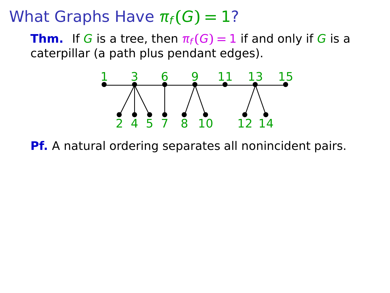**Thm.** If G is a tree, then  $\pi_f(G) = 1$  if and only if G is a caterpillar (a path plus pendant edges).



**Pf.** A natural ordering separates all nonincident pairs.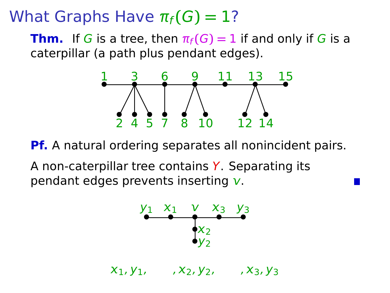**Thm.** If G is a tree, then  $\pi_f(G) = 1$  if and only if G is a caterpillar (a path plus pendant edges).



**Pf.** A natural ordering separates all nonincident pairs.

A non-caterpillar tree contains Y. Separating its pendant edges prevents inserting *.* 



 $X_1, Y_1, \ldots, X_2, Y_2, \ldots, X_3, Y_3$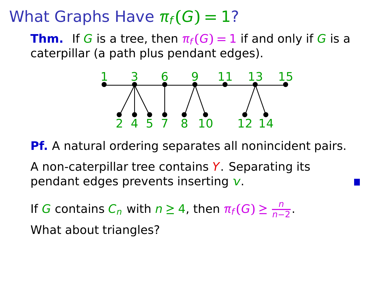**Thm.** If G is a tree, then  $\pi_f(G) = 1$  if and only if G is a caterpillar (a path plus pendant edges).



**Pf.** A natural ordering separates all nonincident pairs.

A non-caterpillar tree contains Y. Separating its pendant edges prevents inserting *.* 

If G contains  $C_n$  with  $n \geq 4$ , then  $\pi_f(G) \geq \frac{n}{n-4}$  $\frac{n}{n-2}$ What about triangles?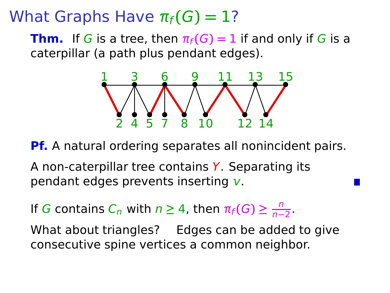**Thm.** If G is a tree, then  $\pi_f(G) = 1$  if and only if G is a caterpillar (a path plus pendant edges).



**Pf.** A natural ordering separates all nonincident pairs.

A non-caterpillar tree contains Y. Separating its pendant edges prevents inserting *.* 

If G contains  $C_n$  with  $n \geq 4$ , then  $\pi_f(G) \geq \frac{n}{n-4}$  $\frac{n}{n-2}$ 

What about triangles? Edges can be added to give consecutive spine vertices a common neighbor.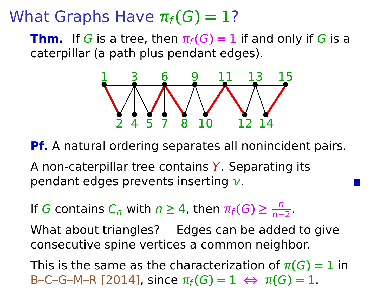**Thm.** If G is a tree, then  $\pi_f(G) = 1$  if and only if G is a caterpillar (a path plus pendant edges).



**Pf.** A natural ordering separates all nonincident pairs.

A non-caterpillar tree contains Y. Separating its pendant edges prevents inserting *.* 

If G contains  $C_n$  with  $n \geq 4$ , then  $\pi_f(G) \geq \frac{n}{n-4}$  $\frac{n}{n-2}$ 

What about triangles? Edges can be added to give consecutive spine vertices a common neighbor.

This is the same as the characterization of  $\pi(G) = 1$  in  $B-C-G-M-R$  [2014], since  $\pi_f(G) = 1 \Leftrightarrow \pi(G) = 1$ .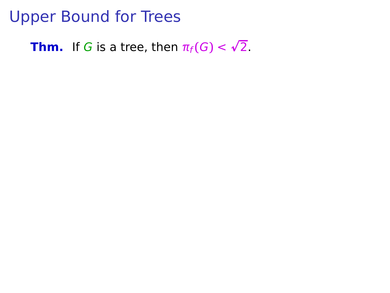**Thm.** If G is a tree, then  $\pi_f(G) < \sqrt{2}$ .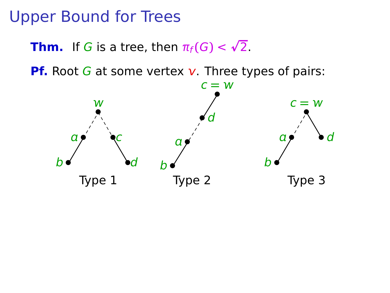**Thm.** If G is a tree, then  $\pi_f(G) < \sqrt{2}$ .

**Pf.** Root  $G$  at some vertex  $v$ . Three types of pairs:

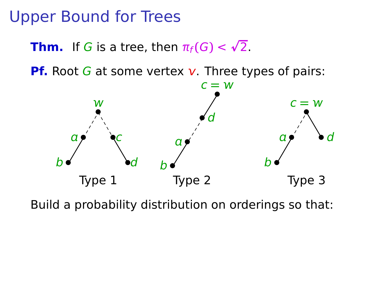**Thm.** If G is a tree, then  $\pi_f(G) < \sqrt{2}$ .

**Pf.** Root G at some vertex  $v$ . Three types of pairs:



Build a probability distribution on orderings so that: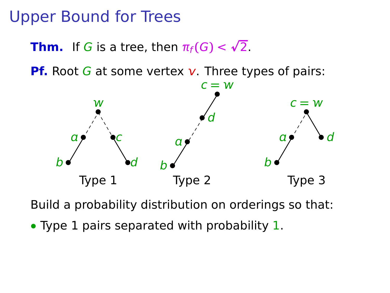**Thm.** If G is a tree, then  $\pi_f(G) < \sqrt{2}$ .

**Pf.** Root G at some vertex  $v$ . Three types of pairs:



Build a probability distribution on orderings so that:

**•** Type 1 pairs separated with probability 1.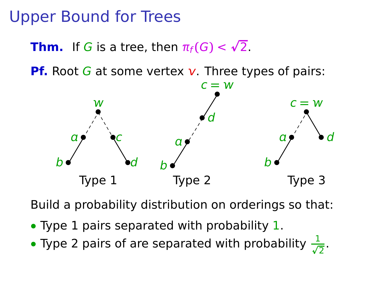**Thm.** If G is a tree, then  $\pi_f(G) < \sqrt{2}$ .

**Pf.** Root G at some vertex  $v$ . Three types of pairs:



Build a probability distribution on orderings so that:

- **•** Type 1 pairs separated with probability 1.
- Type 2 pairs of are separated with probability  $\frac{1}{\sqrt{2}}$ .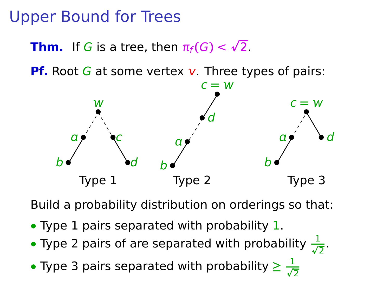**Thm.** If G is a tree, then  $\pi_f(G) < \sqrt{2}$ .

**Pf.** Root G at some vertex  $v$ . Three types of pairs:



Build a probability distribution on orderings so that:

- **•** Type 1 pairs separated with probability 1.
- Type 2 pairs of are separated with probability  $\frac{1}{\sqrt{2}}$ .
- Type 3 pairs separated with probability  $\geq \frac{1}{\sqrt{2}}$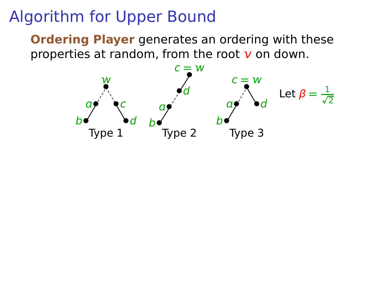**Ordering Player** generates an ordering with these properties at random, from the root  $v$  on down.

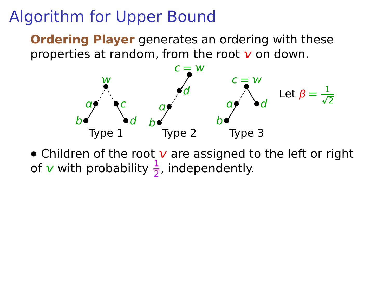**Ordering Player** generates an ordering with these properties at random, from the root  $\bf{v}$  on down.



• Children of the root v are assigned to the left or right of  $\mathbf v$  with probability  $\frac{1}{2}$ , independently.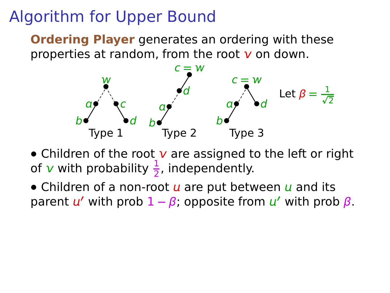**Ordering Player** generates an ordering with these properties at random, from the root  $\bf{v}$  on down.



- Children of the root v are assigned to the left or right of  $\mathbf v$  with probability  $\frac{1}{2}$ , independently.
- Children of a non-root  $u$  are put between  $u$  and its parent **′** with prob 1 **−** β; opposite from **′** with prob β.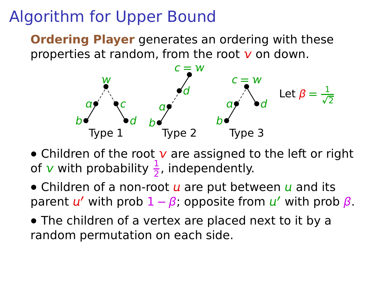**Ordering Player** generates an ordering with these properties at random, from the root  $\bf{v}$  on down.



- Children of the root v are assigned to the left or right of  $\mathbf v$  with probability  $\frac{1}{2}$ , independently.
- Children of a non-root  $u$  are put between  $u$  and its parent **′** with prob 1 **−** β; opposite from **′** with prob β.
- **•** The children of a vertex are placed next to it by a random permutation on each side.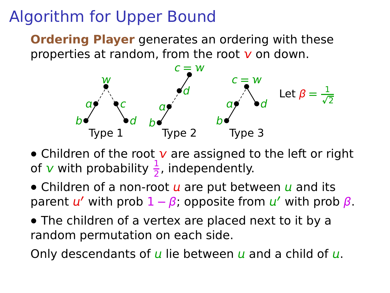**Ordering Player** generates an ordering with these properties at random, from the root  $\bf{v}$  on down.



- Children of the root v are assigned to the left or right of  $\mathbf v$  with probability  $\frac{1}{2}$ , independently.
- Children of a non-root  $u$  are put between  $u$  and its parent **′** with prob 1 **−** β; opposite from **′** with prob β.
- **•** The children of a vertex are placed next to it by a random permutation on each side.

Only descendants of  $\mu$  lie between  $\mu$  and a child of  $\mu$ .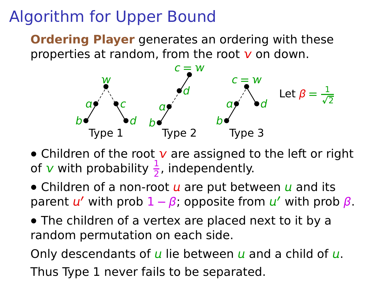**Ordering Player** generates an ordering with these properties at random, from the root  $\bf{v}$  on down.



- Children of the root v are assigned to the left or right of  $\mathbf v$  with probability  $\frac{1}{2}$ , independently.
- Children of a non-root  $u$  are put between  $u$  and its parent **′** with prob 1 **−** β; opposite from **′** with prob β.
- **•** The children of a vertex are placed next to it by a random permutation on each side.

Only descendants of  $\mu$  lie between  $\mu$  and a child of  $\mu$ . Thus Type 1 never fails to be separated.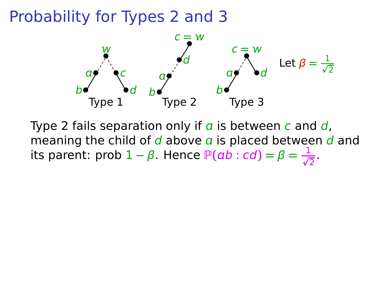

Type 2 fails separation only if  $\alpha$  is between c and d, meaning the child of  $d$  above  $\alpha$  is placed between  $d$  and its parent: prob  $1 - \beta$ . Hence  $\mathbb{P}(ab : cd) = \beta = \frac{1}{\sqrt{2}}$ .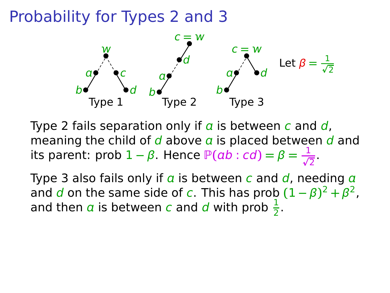

Type 2 fails separation only if  $\alpha$  is between c and d, meaning the child of  $d$  above  $\alpha$  is placed between  $d$  and its parent: prob  $1 - \beta$ . Hence  $\mathbb{P}(ab : cd) = \beta = \frac{1}{\sqrt{2}}$ .

Type 3 also fails only if  $\alpha$  is between c and  $\alpha$ , needing  $\alpha$ and d on the same side of c. This has prob  $(1 - \beta)^2 + \beta^2$ , and then  $\alpha$  is between c and d with prob  $\frac{1}{2}$ .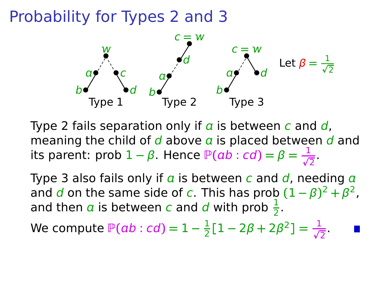

Type 2 fails separation only if  $\alpha$  is between c and d, meaning the child of  $d$  above  $\alpha$  is placed between  $d$  and its parent: prob  $1 - \beta$ . Hence  $\mathbb{P}(ab : cd) = \beta = \frac{1}{\sqrt{2}}$ .

Type 3 also fails only if  $\alpha$  is between c and  $\alpha$ , needing  $\alpha$ and d on the same side of c. This has prob  $(1 - \beta)^2 + \beta^2$ , and then  $\alpha$  is between c and d with prob  $\frac{1}{2}$ .

We compute 
$$
\mathbb{P}(ab : cd) = 1 - \frac{1}{2}[1 - 2\beta + 2\beta^2] = \frac{1}{\sqrt{2}}
$$
.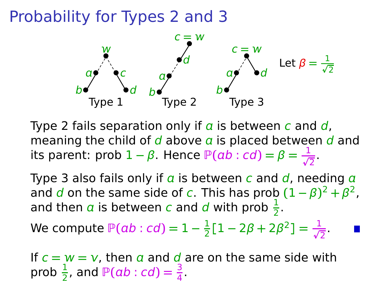

Type 2 fails separation only if  $\alpha$  is between c and d, meaning the child of  $d$  above  $a$  is placed between  $d$  and its parent: prob  $1 - \beta$ . Hence  $\mathbb{P}(ab : cd) = \beta = \frac{1}{\sqrt{2}}$ .

Type 3 also fails only if  $\alpha$  is between c and  $\alpha$ , needing  $\alpha$ and d on the same side of c. This has prob  $(1 - \beta)^2 + \beta^2$ , and then  $\alpha$  is between c and d with prob  $\frac{1}{2}$ .

We compute 
$$
\mathbb{P}(ab : cd) = 1 - \frac{1}{2}[1 - 2\beta + 2\beta^2] = \frac{1}{\sqrt{2}}
$$
.

If  $c = w = v$ , then a and d are on the same side with prob  $\frac{1}{2}$ , and  $\mathbb{P}(ab : cd) = \frac{3}{4}$ .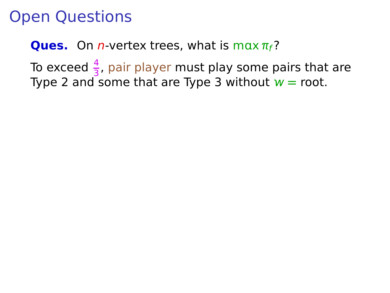**Ques.** On *n*-vertex trees, what is max  $\pi_f$ ?

To exceed  $\frac{4}{3}$ , pair player must play some pairs that are Type 2 and some that are Type 3 without  $w =$  root.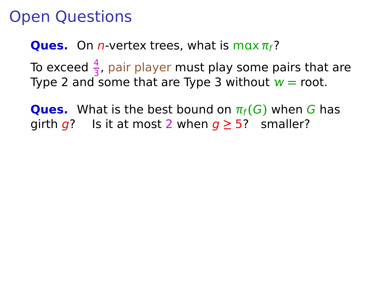**Ques.** On *n*-vertex trees, what is max  $\pi_f$ ?

To exceed  $\frac{4}{3}$ , pair player must play some pairs that are Type 2 and some that are Type 3 without  $w =$  root.

**Ques.** What is the best bound on  $\pi_f(G)$  when G has girth  $q$ ? Is it at most 2 when  $q \ge 5$ ? smaller?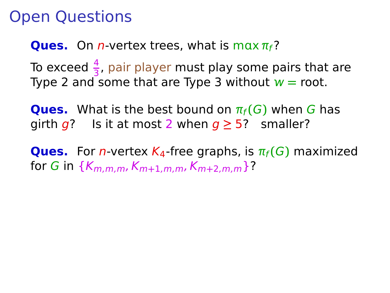**Ques.** On *n*-vertex trees, what is max  $\pi_f$ ?

To exceed  $\frac{4}{3}$ , pair player must play some pairs that are Type 2 and some that are Type 3 without  $w =$  root.

**Ques.** What is the best bound on  $\pi_f(G)$  when G has girth  $q$ ? Is it at most 2 when  $q \ge 5$ ? smaller?

**Ques.** For *n*-vertex  $K_4$ -free graphs, is  $\pi_f(G)$  maximized for G in  $\{K_{m,m,m}, K_{m+1,m,m}, K_{m+2,m,m}\}$ ?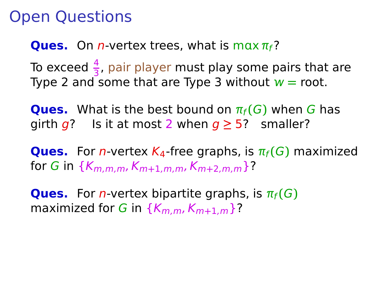**Ques.** On *n*-vertex trees, what is max  $\pi_f$ ?

To exceed  $\frac{4}{3}$ , pair player must play some pairs that are Type 2 and some that are Type 3 without  $w =$  root.

**Ques.** What is the best bound on  $\pi_f(G)$  when G has girth  $q$ ? Is it at most 2 when  $q \ge 5$ ? smaller?

**Ques.** For *n*-vertex  $K_4$ -free graphs, is  $\pi_f(G)$  maximized for G in  $\{K_{m,m,m}, K_{m+1,m,m}, K_{m+2,m,m}\}$ ?

**Ques.** For *n*-vertex bipartite graphs, is  $\pi_f(G)$ maximized for G in  $\{K_{m,m}, K_{m+1,m}\}$ ?